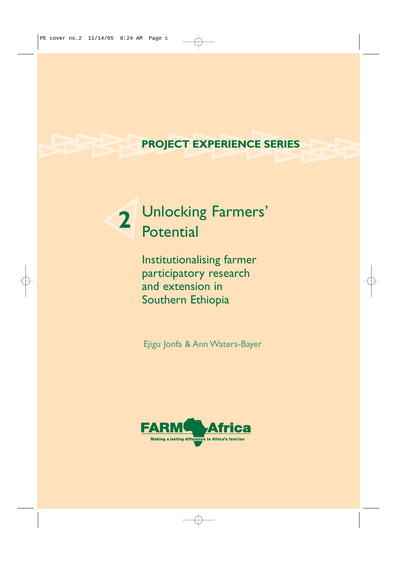# **PROJECT EXPERIENCE SERIES**

# Unlocking Farmers' Potential **2**

Institutionalising farmer participatory research and extension in Southern Ethiopia

Ejigu Jonfa & Ann Waters-Bayer

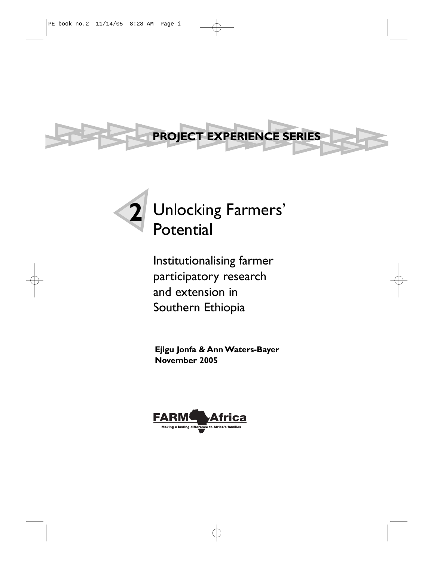



Institutionalising farmer participatory research and extension in Southern Ethiopia

**Ejigu Jonfa & Ann Waters-Bayer November 2005**

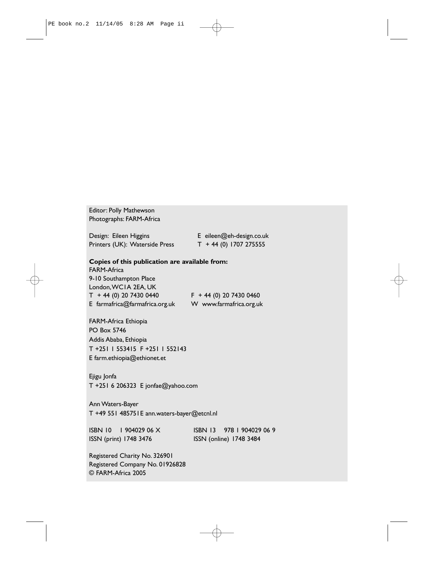Editor: Polly Mathewson Photographs: FARM-Africa

Design: Eileen Higgins E eileen@eh-design.co.uk Printers (UK): Waterside Press T + 44 (0) 1707 275555

#### **Copies of this publication are available from:**

FARM-Africa 9-10 Southampton Place London,WC1A 2EA, UK  $T + 44 (0) 20 7430 0440$   $F + 44 (0) 20 7430 0460$ E farmafrica@farmafrica.org.uk W www.farmafrica.org.uk

FARM-Africa Ethiopia PO Box 5746 Addis Ababa, Ethiopia T +251 1 553415 F +251 1 552143 E farm.ethiopia@ethionet.et

Ejigu Jonfa T +251 6 206323 E jonfae@yahoo.com

Ann Waters-Bayer T +49 551 485751E ann.waters-bayer@etcnl.nl

ISSN (print) 1748 3476 ISSN (online) 1748 3484

ISBN 10 1 904029 06 X ISBN 13 978 1 904029 06 9

Registered Charity No. 326901 Registered Company No. 01926828 © FARM-Africa 2005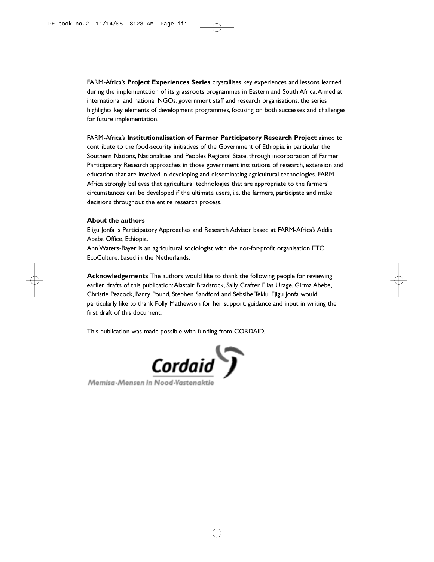FARM-Africa's **Project Experiences Series** crystallises key experiences and lessons learned during the implementation of its grassroots programmes in Eastern and South Africa.Aimed at international and national NGOs, government staff and research organisations, the series highlights key elements of development programmes, focusing on both successes and challenges for future implementation.

FARM-Africa's **Institutionalisation of Farmer Participatory Research Project** aimed to contribute to the food-security initiatives of the Government of Ethiopia, in particular the Southern Nations, Nationalities and Peoples Regional State, through incorporation of Farmer Participatory Research approaches in those government institutions of research, extension and education that are involved in developing and disseminating agricultural technologies. FARM-Africa strongly believes that agricultural technologies that are appropriate to the farmers' circumstances can be developed if the ultimate users, i.e. the farmers, participate and make decisions throughout the entire research process.

#### **About the authors**

Ejigu Jonfa is Participatory Approaches and Research Advisor based at FARM-Africa's Addis Ababa Office, Ethiopia.

Ann Waters-Bayer is an agricultural sociologist with the not-for-profit organisation ETC EcoCulture, based in the Netherlands.

**Acknowledgements** The authors would like to thank the following people for reviewing earlier drafts of this publication: Alastair Bradstock, Sally Crafter, Elias Urage, Girma Abebe, Christie Peacock, Barry Pound, Stephen Sandford and Sebsibe Teklu. Ejigu Jonfa would particularly like to thank Polly Mathewson for her support, guidance and input in writing the first draft of this document.

This publication was made possible with funding from CORDAID.



Memisa-Mensen in Nood-Vastenaktie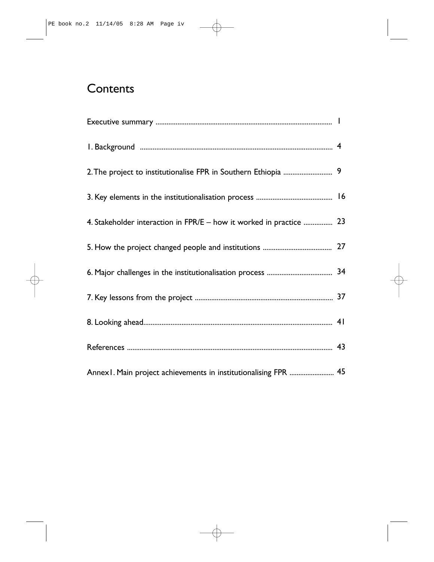# **Contents**

| 4. Stakeholder interaction in FPR/E - how it worked in practice  23 |  |
|---------------------------------------------------------------------|--|
|                                                                     |  |
|                                                                     |  |
|                                                                     |  |
|                                                                     |  |
|                                                                     |  |
| Annex1. Main project achievements in institutionalising FPR  45     |  |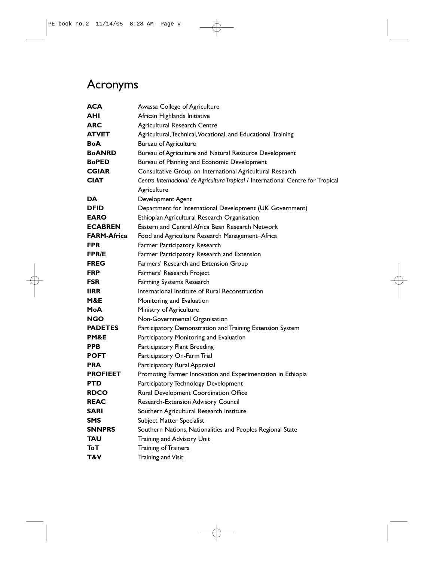# Acronyms

| ACA                | Awassa College of Agriculture                                                    |  |
|--------------------|----------------------------------------------------------------------------------|--|
| AHI                | African Highlands Initiative                                                     |  |
| <b>ARC</b>         | Agricultural Research Centre                                                     |  |
| <b>ATVET</b>       | Agricultural, Technical, Vocational, and Educational Training                    |  |
| <b>BoA</b>         | <b>Bureau of Agriculture</b>                                                     |  |
| <b>BoANRD</b>      | Bureau of Agriculture and Natural Resource Development                           |  |
| <b>BoPED</b>       | Bureau of Planning and Economic Development                                      |  |
| <b>CGIAR</b>       | Consultative Group on International Agricultural Research                        |  |
| <b>CIAT</b>        | Centro Internacional de Agricultura Tropical / International Centre for Tropical |  |
|                    | Agriculture                                                                      |  |
| DA                 | Development Agent                                                                |  |
| DFID               | Department for International Development (UK Government)                         |  |
| <b>EARO</b>        | Ethiopian Agricultural Research Organisation                                     |  |
| <b>ECABREN</b>     | Eastern and Central Africa Bean Research Network                                 |  |
| <b>FARM-Africa</b> | Food and Agriculture Research Management-Africa                                  |  |
| <b>FPR</b>         | Farmer Participatory Research                                                    |  |
| <b>FPR/E</b>       | Farmer Participatory Research and Extension                                      |  |
| <b>FREG</b>        | Farmers' Research and Extension Group                                            |  |
| <b>FRP</b>         | Farmers' Research Project                                                        |  |
| <b>FSR</b>         | Farming Systems Research                                                         |  |
| <b>IIRR</b>        | International Institute of Rural Reconstruction                                  |  |
| M&E                | Monitoring and Evaluation                                                        |  |
| MoA                | Ministry of Agriculture                                                          |  |
| <b>NGO</b>         | Non-Governmental Organisation                                                    |  |
| <b>PADETES</b>     | Participatory Demonstration and Training Extension System                        |  |
| PM&E               | Participatory Monitoring and Evaluation                                          |  |
| <b>PPB</b>         | Participatory Plant Breeding                                                     |  |
| <b>POFT</b>        | Participatory On-Farm Trial                                                      |  |
| <b>PRA</b>         | Participatory Rural Appraisal                                                    |  |
| <b>PROFIEET</b>    | Promoting Farmer Innovation and Experimentation in Ethiopia                      |  |
| <b>PTD</b>         | Participatory Technology Development                                             |  |
| <b>RDCO</b>        | Rural Development Coordination Office                                            |  |
| <b>REAC</b>        | Research-Extension Advisory Council                                              |  |
| <b>SARI</b>        | Southern Agricultural Research Institute                                         |  |
| SMS                | <b>Subject Matter Specialist</b>                                                 |  |
| <b>SNNPRS</b>      | Southern Nations, Nationalities and Peoples Regional State                       |  |
| TAU                | Training and Advisory Unit                                                       |  |
| ТоТ                | <b>Training of Trainers</b>                                                      |  |
| T&V                | Training and Visit                                                               |  |
|                    |                                                                                  |  |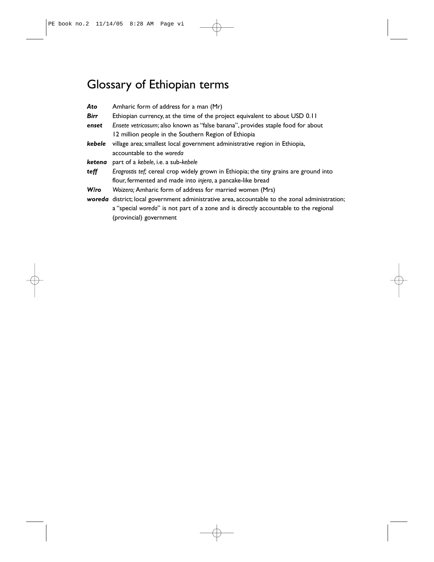# Glossary of Ethiopian terms

| Ato         | Amharic form of address for a man (Mr)                                                          |
|-------------|-------------------------------------------------------------------------------------------------|
| <b>Birr</b> | Ethiopian currency, at the time of the project equivalent to about USD 0.11                     |
| enset       | Ensete vetricosum; also known as "false banana", provides staple food for about                 |
|             | 12 million people in the Southern Region of Ethiopia                                            |
| kebele      | village area; smallest local government administrative region in Ethiopia,                      |
|             | accountable to the woreda                                                                       |
| ketena      | part of a kebele, i.e. a sub-kebele                                                             |
| teff        | Eragrostis tef; cereal crop widely grown in Ethiopia; the tiny grains are ground into           |
|             | flour, fermented and made into injera, a pancake-like bread                                     |
| Wiro        | Woizero; Amharic form of address for married women (Mrs)                                        |
|             | woreda district; local government administrative area, accountable to the zonal administration; |
|             | a "special woreda" is not part of a zone and is directly accountable to the regional            |
|             |                                                                                                 |

a "special woreda" is not p<br>(provincial) government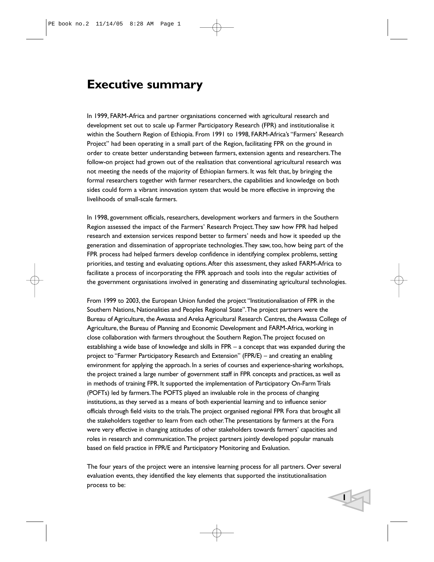# **Executive summary**

In 1999, FARM-Africa and partner organisations concerned with agricultural research and development set out to scale up Farmer Participatory Research (FPR) and institutionalise it within the Southern Region of Ethiopia. From 1991 to 1998, FARM-Africa's "Farmers' Research Project" had been operating in a small part of the Region, facilitating FPR on the ground in order to create better understanding between farmers, extension agents and researchers.The follow-on project had grown out of the realisation that conventional agricultural research was not meeting the needs of the majority of Ethiopian farmers. It was felt that, by bringing the formal researchers together with farmer researchers, the capabilities and knowledge on both sides could form a vibrant innovation system that would be more effective in improving the livelihoods of small-scale farmers.

In 1998, government officials, researchers, development workers and farmers in the Southern Region assessed the impact of the Farmers' Research Project.They saw how FPR had helped research and extension services respond better to farmers' needs and how it speeded up the generation and dissemination of appropriate technologies.They saw, too, how being part of the FPR process had helped farmers develop confidence in identifying complex problems, setting priorities, and testing and evaluating options.After this assessment, they asked FARM-Africa to facilitate a process of incorporating the FPR approach and tools into the regular activities of the government organisations involved in generating and disseminating agricultural technologies.

From 1999 to 2003, the European Union funded the project "Institutionalisation of FPR in the Southern Nations, Nationalities and Peoples Regional State".The project partners were the Bureau of Agriculture, the Awassa and Areka Agricultural Research Centres, the Awassa College of Agriculture, the Bureau of Planning and Economic Development and FARM-Africa, working in close collaboration with farmers throughout the Southern Region.The project focused on establishing a wide base of knowledge and skills in FPR – a concept that was expanded during the project to "Farmer Participatory Research and Extension" (FPR/E) – and creating an enabling environment for applying the approach. In a series of courses and experience-sharing workshops, the project trained a large number of government staff in FPR concepts and practices, as well as in methods of training FPR. It supported the implementation of Participatory On-Farm Trials (POFTs) led by farmers.The POFTS played an invaluable role in the process of changing institutions, as they served as a means of both experiential learning and to influence senior officials through field visits to the trials.The project organised regional FPR Fora that brought all the stakeholders together to learn from each other.The presentations by farmers at the Fora were very effective in changing attitudes of other stakeholders towards farmers' capacities and roles in research and communication.The project partners jointly developed popular manuals based on field practice in FPR/E and Participatory Monitoring and Evaluation.

The four years of the project were an intensive learning process for all partners. Over several evaluation events, they identified the key elements that supported the institutionalisation process to be: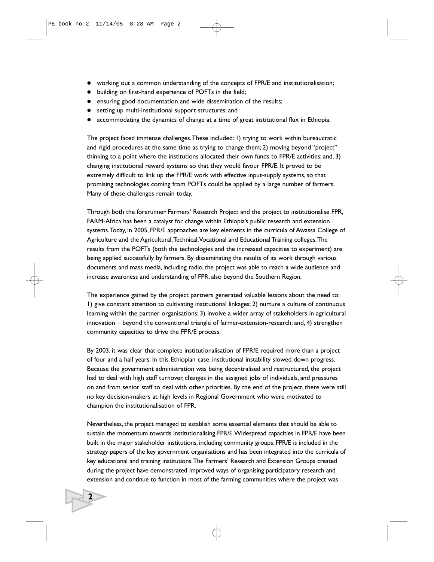- working out a common understanding of the concepts of FPR/E and institutionalisation;
- $\bullet$  building on first-hand experience of POFTs in the field;
- ensuring good documentation and wide dissemination of the results;
- setting up multi-institutional support structures; and
- accommodating the dynamics of change at a time of great institutional flux in Ethiopia.

The project faced immense challenges.These included: 1) trying to work within bureaucratic and rigid procedures at the same time as trying to change them; 2) moving beyond "project" thinking to a point where the institutions allocated their own funds to FPR/E activities; and, 3) changing institutional reward systems so that they would favour FPR/E. It proved to be extremely difficult to link up the FPR/E work with effective input-supply systems, so that promising technologies coming from POFTs could be applied by a large number of farmers. Many of these challenges remain today.

Through both the forerunner Farmers' Research Project and the project to institutionalise FPR, FARM-Africa has been a catalyst for change within Ethiopia's public research and extension systems.Today, in 2005, FPR/E approaches are key elements in the curricula of Awassa College of Agriculture and the Agricultural,Technical,Vocational and Educational Training colleges.The results from the POFTs (both the technologies and the increased capacities to experiment) are being applied successfully by farmers. By disseminating the results of its work through various documents and mass media, including radio, the project was able to reach a wide audience and increase awareness and understanding of FPR, also beyond the Southern Region.

The experience gained by the project partners generated valuable lessons about the need to: 1) give constant attention to cultivating institutional linkages; 2) nurture a culture of continuous learning within the partner organisations; 3) involve a wider array of stakeholders in agricultural innovation – beyond the conventional triangle of farmer-extension-research; and, 4) strengthen community capacities to drive the FPR/E process.

By 2003, it was clear that complete institutionalisation of FPR/E required more than a project of four and a half years. In this Ethiopian case, institutional instability slowed down progress. Because the government administration was being decentralised and restructured, the project had to deal with high staff turnover, changes in the assigned jobs of individuals, and pressures on and from senior staff to deal with other priorities. By the end of the project, there were still no key decision-makers at high levels in Regional Government who were motivated to champion the institutionalisation of FPR.

Nevertheless, the project managed to establish some essential elements that should be able to sustain the momentum towards institutionalising FPR/E.Widespread capacities in FPR/E have been built in the major stakeholder institutions, including community groups. FPR/E is included in the strategy papers of the key government organisations and has been integrated into the curricula of key educational and training institutions.The Farmers' Research and Extension Groups created during the project have demonstrated improved ways of organising participatory research and extension and continue to function in most of the farming communities where the project was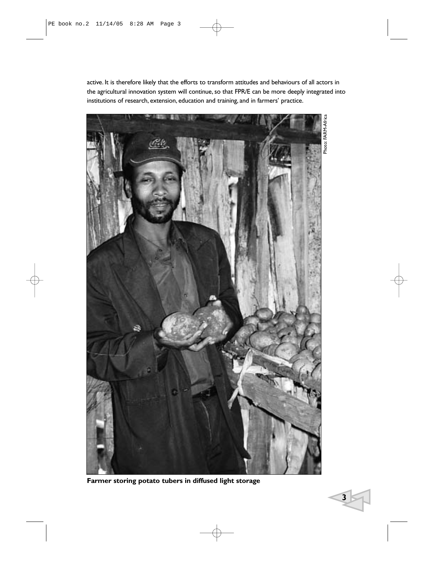active. It is therefore likely that the efforts to transform attitudes and behaviours of all actors in the agricultural innovation system will continue, so that FPR/E can be more deeply integrated into institutions of research, extension, education and training, and in farmers' practice.



**Farmer storing potato tubers in diffused light storage**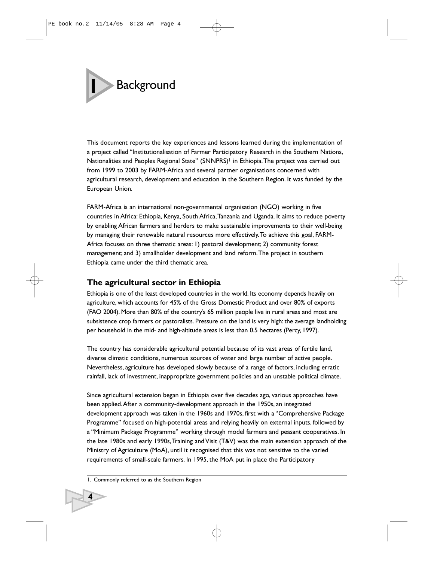# **1** Background

This document reports the key experiences and lessons learned during the implementation of a project called "Institutionalisation of Farmer Participatory Research in the Southern Nations, Nationalities and Peoples Regional State" (SNNPRS)<sup>1</sup> in Ethiopia. The project was carried out from 1999 to 2003 by FARM-Africa and several partner organisations concerned with agricultural research, development and education in the Southern Region. It was funded by the European Union.

FARM-Africa is an international non-governmental organisation (NGO) working in five countries in Africa: Ethiopia, Kenya, South Africa,Tanzania and Uganda. It aims to reduce poverty by enabling African farmers and herders to make sustainable improvements to their well-being by managing their renewable natural resources more effectively.To achieve this goal, FARM-Africa focuses on three thematic areas: 1) pastoral development; 2) community forest management; and 3) smallholder development and land reform.The project in southern Ethiopia came under the third thematic area.

# **The agricultural sector in Ethiopia**

Ethiopia is one of the least developed countries in the world. Its economy depends heavily on agriculture, which accounts for 45% of the Gross Domestic Product and over 80% of exports (FAO 2004). More than 80% of the country's 65 million people live in rural areas and most are subsistence crop farmers or pastoralists. Pressure on the land is very high: the average landholding per household in the mid- and high-altitude areas is less than 0.5 hectares (Percy, 1997).

The country has considerable agricultural potential because of its vast areas of fertile land, diverse climatic conditions, numerous sources of water and large number of active people. Nevertheless, agriculture has developed slowly because of a range of factors, including erratic rainfall, lack of investment, inappropriate government policies and an unstable political climate.

Since agricultural extension began in Ethiopia over five decades ago, various approaches have been applied.After a community-development approach in the 1950s, an integrated development approach was taken in the 1960s and 1970s, first with a "Comprehensive Package Programme" focused on high-potential areas and relying heavily on external inputs, followed by a "Minimum Package Programme" working through model farmers and peasant cooperatives. In the late 1980s and early 1990s,Training and Visit (T&V) was the main extension approach of the Ministry of Agriculture (MoA), until it recognised that this was not sensitive to the varied requirements of small-scale farmers. In 1995, the MoA put in place the Participatory

<sup>1.</sup> Commonly referred to as the Southern Region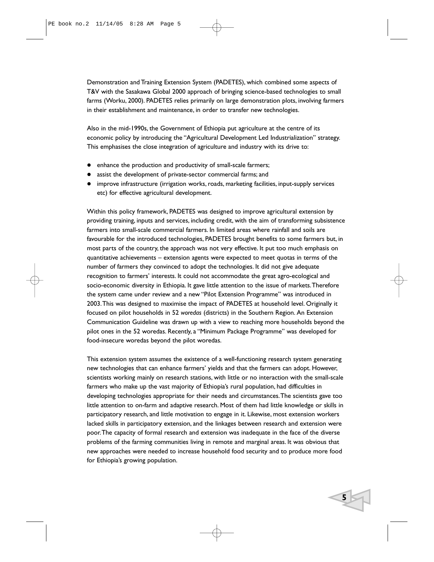Demonstration and Training Extension System (PADETES), which combined some aspects of T&V with the Sasakawa Global 2000 approach of bringing science-based technologies to small farms (Worku, 2000). PADETES relies primarily on large demonstration plots, involving farmers in their establishment and maintenance, in order to transfer new technologies.

Also in the mid-1990s, the Government of Ethiopia put agriculture at the centre of its economic policy by introducing the "Agricultural Development Led Industrialization" strategy. This emphasises the close integration of agriculture and industry with its drive to:

- enhance the production and productivity of small-scale farmers;
- assist the development of private-sector commercial farms; and
- improve infrastructure (irrigation works, roads, marketing facilities, input-supply services etc) for effective agricultural development.

Within this policy framework, PADETES was designed to improve agricultural extension by providing training, inputs and services, including credit, with the aim of transforming subsistence farmers into small-scale commercial farmers. In limited areas where rainfall and soils are favourable for the introduced technologies, PADETES brought benefits to some farmers but, in most parts of the country, the approach was not very effective. It put too much emphasis on quantitative achievements – extension agents were expected to meet quotas in terms of the number of farmers they convinced to adopt the technologies. It did not give adequate recognition to farmers' interests. It could not accommodate the great agro-ecological and socio-economic diversity in Ethiopia. It gave little attention to the issue of markets.Therefore the system came under review and a new "Pilot Extension Programme" was introduced in 2003.This was designed to maximise the impact of PADETES at household level. Originally it focused on pilot households in 52 *woredas* (districts) in the Southern Region. An Extension Communication Guideline was drawn up with a view to reaching more households beyond the pilot ones in the 52 woredas. Recently, a "Minimum Package Programme" was developed for food-insecure woredas beyond the pilot woredas.

This extension system assumes the existence of a well-functioning research system generating new technologies that can enhance farmers' yields and that the farmers can adopt. However, scientists working mainly on research stations, with little or no interaction with the small-scale farmers who make up the vast majority of Ethiopia's rural population, had difficulties in developing technologies appropriate for their needs and circumstances.The scientists gave too little attention to on-farm and adaptive research. Most of them had little knowledge or skills in participatory research, and little motivation to engage in it. Likewise, most extension workers lacked skills in participatory extension, and the linkages between research and extension were poor.The capacity of formal research and extension was inadequate in the face of the diverse problems of the farming communities living in remote and marginal areas. It was obvious that new approaches were needed to increase household food security and to produce more food for Ethiopia's growing population.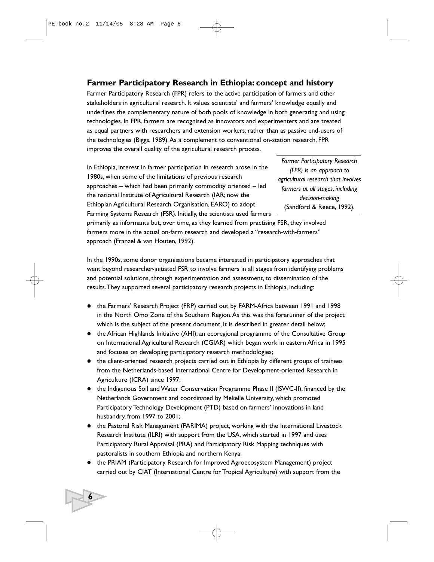# **Farmer Participatory Research in Ethiopia: concept and history**

Farmer Participatory Research (FPR) refers to the active participation of farmers and other stakeholders in agricultural research. It values scientists' and farmers' knowledge equally and underlines the complementary nature of both pools of knowledge in both generating and using technologies. In FPR, farmers are recognised as innovators and experimenters and are treated as equal partners with researchers and extension workers, rather than as passive end-users of the technologies (Biggs, 1989).As a complement to conventional on-station research, FPR improves the overall quality of the agricultural research process.

In Ethiopia, interest in farmer participation in research arose in the 1980s, when some of the limitations of previous research approaches – which had been primarily commodity oriented – led the national Institute of Agricultural Research (IAR; now the Ethiopian Agricultural Research Organisation, EARO) to adopt Farming Systems Research (FSR). Initially, the scientists used farmers

*Farmer Participatory Research (FPR) is an approach to agricultural research that involves farmers at all stages, including decision-making*  (Sandford & Reece, 1992).

primarily as informants but, over time, as they learned from practising FSR, they involved farmers more in the actual on-farm research and developed a "research-with-farmers" approach (Franzel & van Houten, 1992).

In the 1990s, some donor organisations became interested in participatory approaches that went beyond researcher-initiated FSR to involve farmers in all stages from identifying problems and potential solutions, through experimentation and assessment, to dissemination of the results.They supported several participatory research projects in Ethiopia, including:

- the Farmers' Research Project (FRP) carried out by FARM-Africa between 1991 and 1998 in the North Omo Zone of the Southern Region.As this was the forerunner of the project which is the subject of the present document, it is described in greater detail below;
- the African Highlands Initiative (AHI), an ecoregional programme of the Consultative Group on International Agricultural Research (CGIAR) which began work in eastern Africa in 1995 and focuses on developing participatory research methodologies;
- the client-oriented research projects carried out in Ethiopia by different groups of trainees from the Netherlands-based International Centre for Development-oriented Research in Agriculture (ICRA) since 1997;
- the Indigenous Soil and Water Conservation Programme Phase II (ISWC-II), financed by the Netherlands Government and coordinated by Mekelle University, which promoted Participatory Technology Development (PTD) based on farmers' innovations in land husbandry, from 1997 to 2001;
- the Pastoral Risk Management (PARIMA) project, working with the International Livestock Research Institute (ILRI) with support from the USA, which started in 1997 and uses Participatory Rural Appraisal (PRA) and Participatory Risk Mapping techniques with pastoralists in southern Ethiopia and northern Kenya;
- the PRIAM (Participatory Research for Improved Agroecosystem Management) project carried out by CIAT (International Centre for Tropical Agriculture) with support from the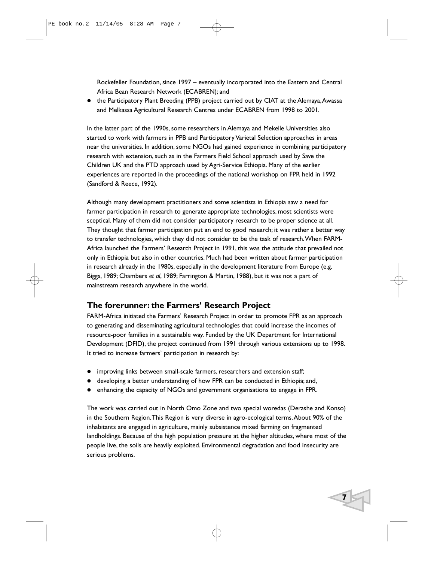Rockefeller Foundation, since 1997 – eventually incorporated into the Eastern and Central Africa Bean Research Network (ECABREN); and

• the Participatory Plant Breeding (PPB) project carried out by CIAT at the Alemaya, Awassa and Melkassa Agricultural Research Centres under ECABREN from 1998 to 2001.

In the latter part of the 1990s, some researchers in Alemaya and Mekelle Universities also started to work with farmers in PPB and Participatory Varietal Selection approaches in areas near the universities. In addition, some NGOs had gained experience in combining participatory research with extension, such as in the Farmers Field School approach used by Save the Children UK and the PTD approach used by Agri-Service Ethiopia. Many of the earlier experiences are reported in the proceedings of the national workshop on FPR held in 1992 (Sandford & Reece, 1992).

Although many development practitioners and some scientists in Ethiopia saw a need for farmer participation in research to generate appropriate technologies, most scientists were sceptical. Many of them did not consider participatory research to be proper science at all. They thought that farmer participation put an end to good research; it was rather a better way to transfer technologies, which they did not consider to be the task of research.When FARM-Africa launched the Farmers' Research Project in 1991, this was the attitude that prevailed not only in Ethiopia but also in other countries. Much had been written about farmer participation in research already in the 1980s, especially in the development literature from Europe (e.g. Biggs, 1989; Chambers *et al*, 1989; Farrington & Martin, 1988), but it was not a part of mainstream research anywhere in the world.

# **The forerunner: the Farmers' Research Project**

FARM-Africa initiated the Farmers' Research Project in order to promote FPR as an approach to generating and disseminating agricultural technologies that could increase the incomes of resource-poor families in a sustainable way. Funded by the UK Department for International Development (DFID), the project continued from 1991 through various extensions up to 1998. It tried to increase farmers' participation in research by:

- improving links between small-scale farmers, researchers and extension staff;
- developing a better understanding of how FPR can be conducted in Ethiopia; and,
- enhancing the capacity of NGOs and government organisations to engage in FPR.

The work was carried out in North Omo Zone and two special woredas (Derashe and Konso) in the Southern Region.This Region is very diverse in agro-ecological terms.About 90% of the inhabitants are engaged in agriculture, mainly subsistence mixed farming on fragmented landholdings. Because of the high population pressure at the higher altitudes, where most of the people live, the soils are heavily exploited. Environmental degradation and food insecurity are serious problems.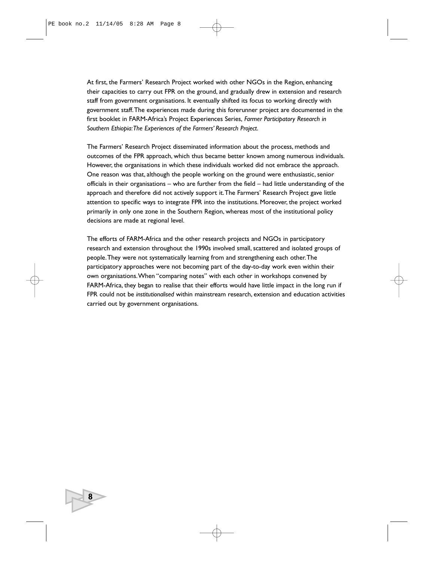At first, the Farmers' Research Project worked with other NGOs in the Region, enhancing their capacities to carry out FPR on the ground, and gradually drew in extension and research staff from government organisations. It eventually shifted its focus to working directly with government staff.The experiences made during this forerunner project are documented in the first booklet in FARM-Africa's Project Experiences Series, *Farmer Participatory Research in Southern Ethiopia:The Experiences of the Farmers' Research Project*.

The Farmers' Research Project disseminated information about the process, methods and outcomes of the FPR approach, which thus became better known among numerous individuals. However, the organisations in which these individuals worked did not embrace the approach. One reason was that, although the people working on the ground were enthusiastic, senior officials in their organisations – who are further from the field – had little understanding of the approach and therefore did not actively support it.The Farmers' Research Project gave little attention to specific ways to integrate FPR into the institutions. Moreover, the project worked primarily in only one zone in the Southern Region, whereas most of the institutional policy decisions are made at regional level.

The efforts of FARM-Africa and the other research projects and NGOs in participatory research and extension throughout the 1990s involved small, scattered and isolated groups of people.They were not systematically learning from and strengthening each other.The participatory approaches were not becoming part of the day-to-day work even within their own organisations.When "comparing notes" with each other in workshops convened by FARM-Africa, they began to realise that their efforts would have little impact in the long run if FPR could not be *institutionalised* within mainstream research, extension and education activities carried out by government organisations.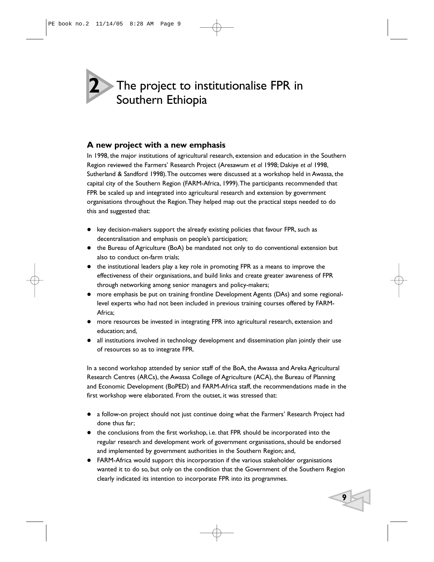# The project to institutionalise FPR in Southern Ethiopia **2**

# **A new project with a new emphasis**

In 1998, the major institutions of agricultural research, extension and education in the Southern Region reviewed the Farmers' Research Project (Aresawum *et al* 1998; Dakiye *et al* 1998, Sutherland & Sandford 1998).The outcomes were discussed at a workshop held in Awassa, the capital city of the Southern Region (FARM-Africa, 1999).The participants recommended that FPR be scaled up and integrated into agricultural research and extension by government organisations throughout the Region.They helped map out the practical steps needed to do this and suggested that:

- key decision-makers support the already existing policies that favour FPR, such as decentralisation and emphasis on people's participation;
- the Bureau of Agriculture (BoA) be mandated not only to do conventional extension but also to conduct on-farm trials;
- $\bullet$  the institutional leaders play a key role in promoting FPR as a means to improve the effectiveness of their organisations, and build links and create greater awareness of FPR through networking among senior managers and policy-makers;
- more emphasis be put on training frontline Development Agents (DAs) and some regionallevel experts who had not been included in previous training courses offered by FARM-Africa;
- more resources be invested in integrating FPR into agricultural research, extension and education; and,
- all institutions involved in technology development and dissemination plan jointly their use of resources so as to integrate FPR.

In a second workshop attended by senior staff of the BoA, the Awassa and Areka Agricultural Research Centres (ARCs), the Awassa College of Agriculture (ACA), the Bureau of Planning and Economic Development (BoPED) and FARM-Africa staff, the recommendations made in the first workshop were elaborated. From the outset, it was stressed that:

- a follow-on project should not just continue doing what the Farmers' Research Project had done thus far;
- $\bullet$  the conclusions from the first workshop, i.e. that FPR should be incorporated into the regular research and development work of government organisations, should be endorsed and implemented by government authorities in the Southern Region; and,
- FARM-Africa would support this incorporation if the various stakeholder organisations wanted it to do so, but only on the condition that the Government of the Southern Region clearly indicated its intention to incorporate FPR into its programmes.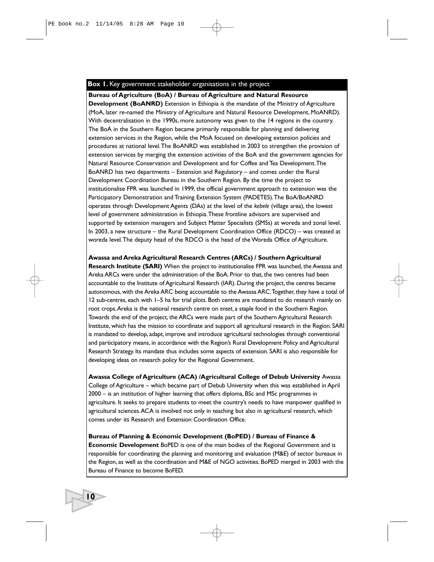#### **Box 1.** Key government stakeholder organisations in the project

**Bureau of Agriculture (BoA) / Bureau of Agriculture and Natural Resource Development (BoANRD)** Extension in Ethiopia is the mandate of the Ministry of Agriculture (MoA, later re-named the Ministry of Agriculture and Natural Resource Development, MoANRD). With decentralisation in the 1990s, more autonomy was given to the 14 regions in the country. The BoA in the Southern Region became primarily responsible for planning and delivering extension services in the Region, while the MoA focused on developing extension policies and procedures at national level.The BoANRD was established in 2003 to strengthen the provision of extension services by merging the extension activities of the BoA and the government agencies for Natural Resource Conservation and Development and for Coffee and Tea Development.The BoANRD has two departments – Extension and Regulatory – and comes under the Rural Development Coordination Bureau in the Southern Region. By the time the project to institutionalise FPR was launched in 1999, the official government approach to extension was the Participatory Demonstration and Training Extension System (PADETES). The BoA/BoANRD operates through Development Agents (DAs) at the level of the *kebele* (village area), the lowest level of government administration in Ethiopia.These frontline advisors are supervised and supported by extension managers and Subject Matter Specialists (SMSs) at woreda and zonal level. In 2003, a new structure – the Rural Development Coordination Office (RDCO) – was created at woreda level.The deputy head of the RDCO is the head of the Woreda Office of Agriculture.

#### **Awassa and Areka Agricultural Research Centres (ARCs) / Southern Agricultural**

**Research Institute (SARI)** When the project to institutionalise FPR was launched, the Awassa and Areka ARCs were under the administration of the BoA. Prior to that, the two centres had been accountable to the Institute of Agricultural Research (IAR). During the project, the centres became autonomous, with the Areka ARC being accountable to the Awassa ARC.Together, they have a total of 12 sub-centres, each with 1–5 ha for trial plots. Both centres are mandated to do research mainly on root crops.Areka is the national research centre on *enset*, a staple food in the Southern Region. Towards the end of the project, the ARCs were made part of the Southern Agricultural Research Institute, which has the mission to coordinate and support all agricultural research in the Region. SARI is mandated to develop, adapt, improve and introduce agricultural technologies through conventional and participatory means, in accordance with the Region's Rural Development Policy and Agricultural Research Strategy. Its mandate thus includes some aspects of extension. SARI is also responsible for developing ideas on research policy for the Regional Government.

**Awassa College of Agriculture (ACA) /Agricultural College of Debub University** Awassa College of Agriculture – which became part of Debub University when this was established in April 2000 – is an institution of higher learning that offers diploma, BSc and MSc programmes in agriculture. It seeks to prepare students to meet the country's needs to have manpower qualified in agricultural sciences.ACA is involved not only in teaching but also in agricultural research, which comes under its Research and Extension Coordination Office.

**Bureau of Planning & Economic Development (BoPED) / Bureau of Finance & Economic Development** BoPED is one of the main bodies of the Regional Government and is responsible for coordinating the planning and monitoring and evaluation (M&E) of sector bureaux in the Region, as well as the coordination and M&E of NGO activities. BoPED merged in 2003 with the Bureau of Finance to become BoFED.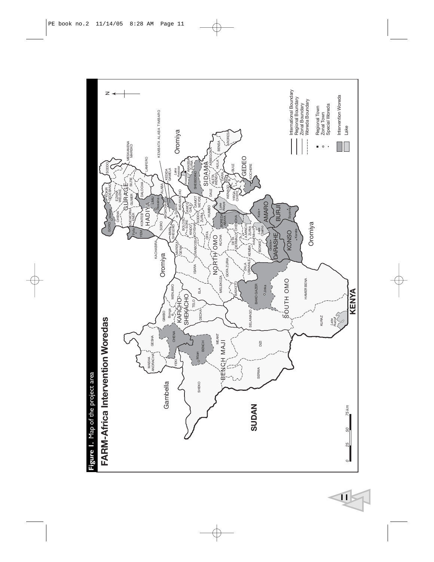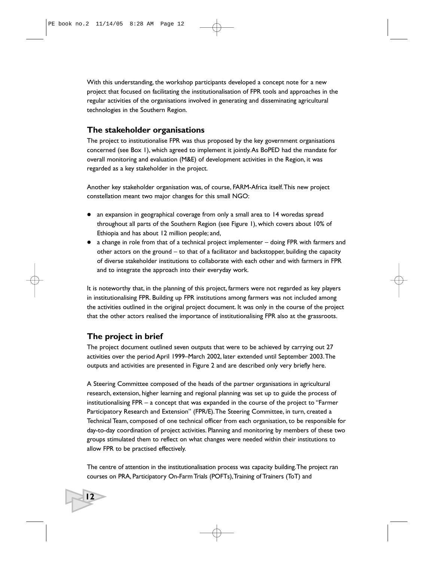With this understanding, the workshop participants developed a concept note for a new project that focused on facilitating the institutionalisation of FPR tools and approaches in the regular activities of the organisations involved in generating and disseminating agricultural technologies in the Southern Region.

## **The stakeholder organisations**

The project to institutionalise FPR was thus proposed by the key government organisations concerned (see Box 1), which agreed to implement it jointly.As BoPED had the mandate for overall monitoring and evaluation (M&E) of development activities in the Region, it was regarded as a key stakeholder in the project.

Another key stakeholder organisation was, of course, FARM-Africa itself.This new project constellation meant two major changes for this small NGO:

- an expansion in geographical coverage from only a small area to 14 woredas spread throughout all parts of the Southern Region (see Figure 1), which covers about 10% of Ethiopia and has about 12 million people; and,
- $\bullet$  a change in role from that of a technical project implementer  $-$  doing FPR with farmers and other actors on the ground – to that of a facilitator and backstopper, building the capacity of diverse stakeholder institutions to collaborate with each other and with farmers in FPR and to integrate the approach into their everyday work.

It is noteworthy that, in the planning of this project, farmers were not regarded as key players in institutionalising FPR. Building up FPR institutions among farmers was not included among the activities outlined in the original project document. It was only in the course of the project that the other actors realised the importance of institutionalising FPR also at the grassroots.

# **The project in brief**

**12**

The project document outlined seven outputs that were to be achieved by carrying out 27 activities over the period April 1999–March 2002, later extended until September 2003.The outputs and activities are presented in Figure 2 and are described only very briefly here.

A Steering Committee composed of the heads of the partner organisations in agricultural research, extension, higher learning and regional planning was set up to guide the process of institutionalising FPR – a concept that was expanded in the course of the project to "Farmer Participatory Research and Extension" (FPR/E). The Steering Committee, in turn, created a Technical Team, composed of one technical officer from each organisation, to be responsible for day-to-day coordination of project activities. Planning and monitoring by members of these two groups stimulated them to reflect on what changes were needed within their institutions to allow FPR to be practised effectively.

The centre of attention in the institutionalisation process was capacity building.The project ran courses on PRA, Participatory On-Farm Trials (POFTs),Training of Trainers (ToT) and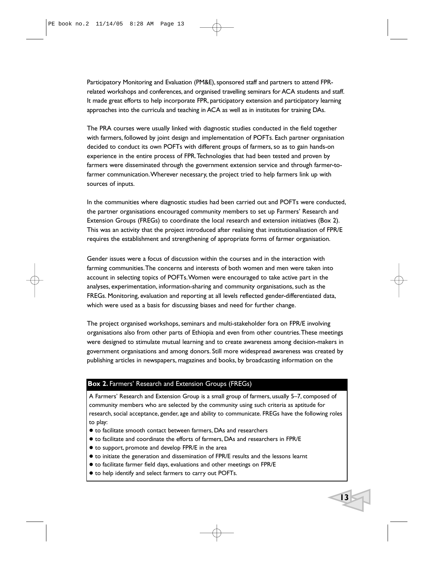Participatory Monitoring and Evaluation (PM&E), sponsored staff and partners to attend FPRrelated workshops and conferences, and organised travelling seminars for ACA students and staff. It made great efforts to help incorporate FPR, participatory extension and participatory learning approaches into the curricula and teaching in ACA as well as in institutes for training DAs.

The PRA courses were usually linked with diagnostic studies conducted in the field together with farmers, followed by joint design and implementation of POFTs. Each partner organisation decided to conduct its own POFTs with different groups of farmers, so as to gain hands-on experience in the entire process of FPR.Technologies that had been tested and proven by farmers were disseminated through the government extension service and through farmer-tofarmer communication.Wherever necessary, the project tried to help farmers link up with sources of inputs.

In the communities where diagnostic studies had been carried out and POFTs were conducted, the partner organisations encouraged community members to set up Farmers' Research and Extension Groups (FREGs) to coordinate the local research and extension initiatives (Box 2). This was an activity that the project introduced after realising that institutionalisation of FPR/E requires the establishment and strengthening of appropriate forms of farmer organisation.

Gender issues were a focus of discussion within the courses and in the interaction with farming communities.The concerns and interests of both women and men were taken into account in selecting topics of POFTs.Women were encouraged to take active part in the analyses, experimentation, information-sharing and community organisations, such as the FREGs. Monitoring, evaluation and reporting at all levels reflected gender-differentiated data, which were used as a basis for discussing biases and need for further change.

The project organised workshops, seminars and multi-stakeholder fora on FPR/E involving organisations also from other parts of Ethiopia and even from other countries.These meetings were designed to stimulate mutual learning and to create awareness among decision-makers in government organisations and among donors. Still more widespread awareness was created by publishing articles in newspapers, magazines and books, by broadcasting information on the

#### **Box 2.** Farmers' Research and Extension Groups (FREGs)

A Farmers' Research and Extension Group is a small group of farmers, usually 5–7, composed of community members who are selected by the community using such criteria as aptitude for research, social acceptance, gender, age and ability to communicate. FREGs have the following roles to play:

- $\bullet$  to facilitate smooth contact between farmers, DAs and researchers
- to facilitate and coordinate the efforts of farmers, DAs and researchers in FPR/E
- $\bullet$  to support, promote and develop FPR/E in the area
- to initiate the generation and dissemination of FPR/E results and the lessons learnt
- to facilitate farmer field days, evaluations and other meetings on FPR/E
- $\bullet$  to help identify and select farmers to carry out POFTs.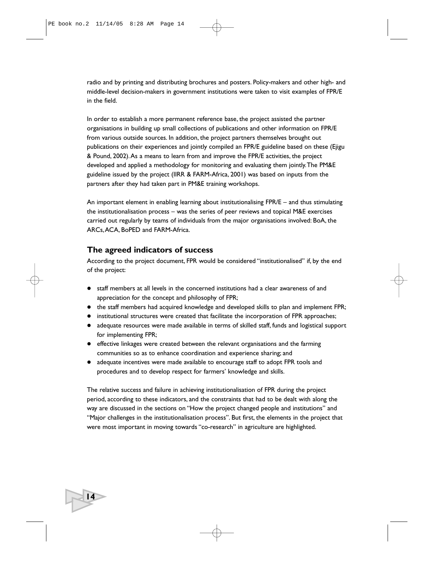radio and by printing and distributing brochures and posters. Policy-makers and other high- and middle-level decision-makers in government institutions were taken to visit examples of FPR/E in the field.

In order to establish a more permanent reference base, the project assisted the partner organisations in building up small collections of publications and other information on FPR/E from various outside sources. In addition, the project partners themselves brought out publications on their experiences and jointly compiled an FPR/E guideline based on these (Ejigu & Pound, 2002).As a means to learn from and improve the FPR/E activities, the project developed and applied a methodology for monitoring and evaluating them jointly.The PM&E guideline issued by the project (IIRR & FARM-Africa, 2001) was based on inputs from the partners after they had taken part in PM&E training workshops.

An important element in enabling learning about institutionalising FPR/E – and thus stimulating the institutionalisation process – was the series of peer reviews and topical M&E exercises carried out regularly by teams of individuals from the major organisations involved: BoA, the ARCs,ACA, BoPED and FARM-Africa.

# **The agreed indicators of success**

**14**

According to the project document, FPR would be considered "institutionalised" if, by the end of the project:

- staff members at all levels in the concerned institutions had a clear awareness of and appreciation for the concept and philosophy of FPR;
- the staff members had acquired knowledge and developed skills to plan and implement FPR;
- institutional structures were created that facilitate the incorporation of FPR approaches;
- adequate resources were made available in terms of skilled staff, funds and logistical support for implementing FPR;
- effective linkages were created between the relevant organisations and the farming communities so as to enhance coordination and experience sharing; and
- adequate incentives were made available to encourage staff to adopt FPR tools and procedures and to develop respect for farmers' knowledge and skills.

The relative success and failure in achieving institutionalisation of FPR during the project period, according to these indicators, and the constraints that had to be dealt with along the way are discussed in the sections on "How the project changed people and institutions" and "Major challenges in the institutionalisation process". But first, the elements in the project that were most important in moving towards "co-research" in agriculture are highlighted.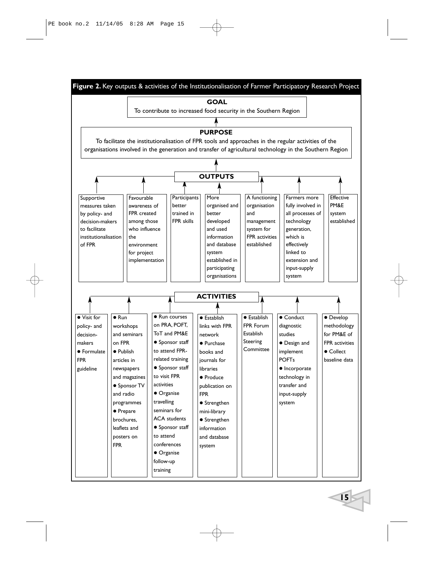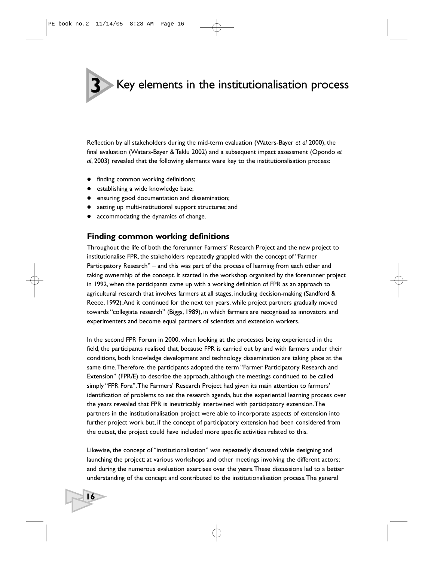**3** Key elements in the institutionalisation process

Reflection by all stakeholders during the mid-term evaluation (Waters-Bayer *et al* 2000), the final evaluation (Waters-Bayer & Teklu 2002) and a subsequent impact assessment (Opondo *et al*, 2003) revealed that the following elements were key to the institutionalisation process:

- finding common working definitions;
- establishing a wide knowledge base;

**16**

- ensuring good documentation and dissemination;
- setting up multi-institutional support structures; and
- accommodating the dynamics of change.

### **Finding common working definitions**

Throughout the life of both the forerunner Farmers' Research Project and the new project to institutionalise FPR, the stakeholders repeatedly grappled with the concept of "Farmer Participatory Research" – and this was part of the process of learning from each other and taking ownership of the concept. It started in the workshop organised by the forerunner project in 1992, when the participants came up with a working definition of FPR as an approach to agricultural research that involves farmers at all stages, including decision-making (Sandford & Reece, 1992).And it continued for the next ten years, while project partners gradually moved towards "collegiate research" (Biggs, 1989), in which farmers are recognised as innovators and experimenters and become equal partners of scientists and extension workers.

In the second FPR Forum in 2000, when looking at the processes being experienced in the field, the participants realised that, because FPR is carried out by and with farmers under their conditions, both knowledge development and technology dissemination are taking place at the same time.Therefore, the participants adopted the term "Farmer Participatory Research and Extension" (FPR/E) to describe the approach, although the meetings continued to be called simply "FPR Fora".The Farmers' Research Project had given its main attention to farmers' identification of problems to set the research agenda, but the experiential learning process over the years revealed that FPR is inextricably intertwined with participatory extension.The partners in the institutionalisation project were able to incorporate aspects of extension into further project work but, if the concept of participatory extension had been considered from the outset, the project could have included more specific activities related to this.

Likewise, the concept of "institutionalisation" was repeatedly discussed while designing and launching the project; at various workshops and other meetings involving the different actors; and during the numerous evaluation exercises over the years.These discussions led to a better understanding of the concept and contributed to the institutionalisation process.The general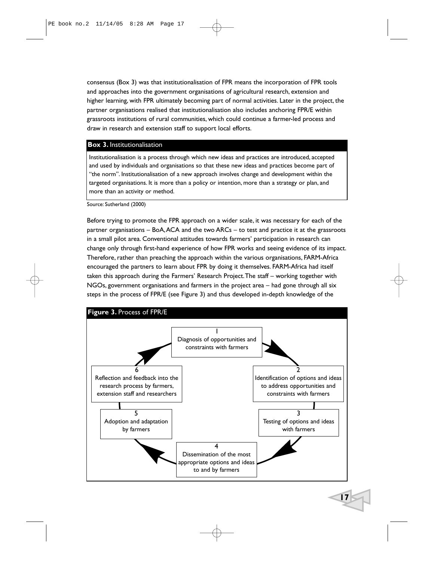consensus (Box 3) was that institutionalisation of FPR means the incorporation of FPR tools and approaches into the government organisations of agricultural research, extension and higher learning, with FPR ultimately becoming part of normal activities. Later in the project, the partner organisations realised that institutionalisation also includes anchoring FPR/E within grassroots institutions of rural communities, which could continue a farmer-led process and draw in research and extension staff to support local efforts.

#### **Box 3.** Institutionalisation

Institutionalisation is a process through which new ideas and practices are introduced, accepted and used by individuals and organisations so that these new ideas and practices become part of "the norm". Institutionalisation of a new approach involves change and development within the targeted organisations. It is more than a policy or intention, more than a strategy or plan, and more than an activity or method.

Source: Sutherland (2000)

Before trying to promote the FPR approach on a wider scale, it was necessary for each of the partner organisations – BoA,ACA and the two ARCs – to test and practice it at the grassroots in a small pilot area. Conventional attitudes towards farmers' participation in research can change only through first-hand experience of how FPR works and seeing evidence of its impact. Therefore, rather than preaching the approach within the various organisations, FARM-Africa encouraged the partners to learn about FPR by doing it themselves. FARM-Africa had itself taken this approach during the Farmers' Research Project.The staff – working together with NGOs, government organisations and farmers in the project area – had gone through all six steps in the process of FPR/E (see Figure 3) and thus developed in-depth knowledge of the

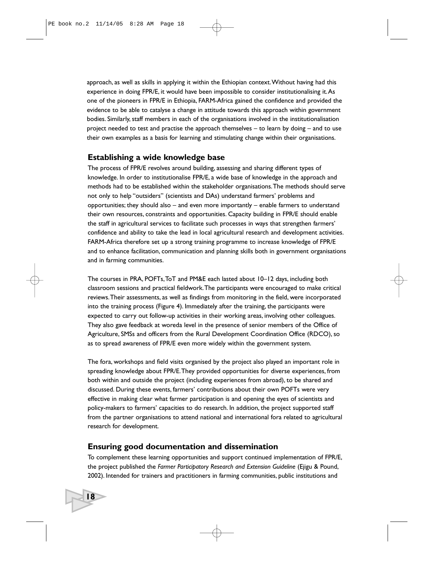approach, as well as skills in applying it within the Ethiopian context.Without having had this experience in doing FPR/E, it would have been impossible to consider institutionalising it.As one of the pioneers in FPR/E in Ethiopia, FARM-Africa gained the confidence and provided the evidence to be able to catalyse a change in attitude towards this approach within government bodies. Similarly, staff members in each of the organisations involved in the institutionalisation project needed to test and practise the approach themselves – to learn by doing – and to use their own examples as a basis for learning and stimulating change within their organisations.

## **Establishing a wide knowledge base**

The process of FPR/E revolves around building, assessing and sharing different types of knowledge. In order to institutionalise FPR/E, a wide base of knowledge in the approach and methods had to be established within the stakeholder organisations.The methods should serve not only to help "outsiders" (scientists and DAs) understand farmers' problems and opportunities; they should also – and even more importantly – enable farmers to understand their own resources, constraints and opportunities. Capacity building in FPR/E should enable the staff in agricultural services to facilitate such processes in ways that strengthen farmers' confidence and ability to take the lead in local agricultural research and development activities. FARM-Africa therefore set up a strong training programme to increase knowledge of FPR/E and to enhance facilitation, communication and planning skills both in government organisations and in farming communities.

The courses in PRA, POFTs,ToT and PM&E each lasted about 10–12 days, including both classroom sessions and practical fieldwork.The participants were encouraged to make critical reviews.Their assessments, as well as findings from monitoring in the field, were incorporated into the training process (Figure 4). Immediately after the training, the participants were expected to carry out follow-up activities in their working areas, involving other colleagues. They also gave feedback at woreda level in the presence of senior members of the Office of Agriculture, SMSs and officers from the Rural Development Coordination Office (RDCO), so as to spread awareness of FPR/E even more widely within the government system.

The fora, workshops and field visits organised by the project also played an important role in spreading knowledge about FPR/E.They provided opportunities for diverse experiences, from both within and outside the project (including experiences from abroad), to be shared and discussed. During these events, farmers' contributions about their own POFTs were very effective in making clear what farmer participation is and opening the eyes of scientists and policy-makers to farmers' capacities to do research. In addition, the project supported staff from the partner organisations to attend national and international fora related to agricultural research for development.

## **Ensuring good documentation and dissemination**

To complement these learning opportunities and support continued implementation of FPR/E, the project published the *Farmer Participatory Research and Extension Guideline* (Ejigu & Pound, 2002). Intended for trainers and practitioners in farming communities, public institutions and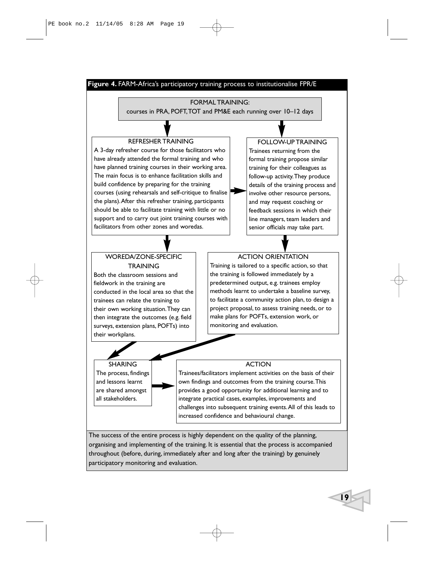#### **Figure 4.** FARM-Africa's participatory training process to institutionalise FPR/E

#### FORMAL TRAINING:

courses in PRA, POFT,TOT and PM&E each running over 10–12 days

#### REFRESHER TRAINING

A 3-day refresher course for those facilitators who have already attended the formal training and who have planned training courses in their working area. The main focus is to enhance facilitation skills and build confidence by preparing for the training courses (using rehearsals and self-critique to finalise the plans).After this refresher training, participants should be able to facilitate training with little or no support and to carry out joint training courses with facilitators from other zones and woredas.

#### FOLLOW-UP TRAINING

Trainees returning from the formal training propose similar training for their colleagues as follow-up activity.They produce details of the training process and involve other resource persons, and may request coaching or feedback sessions in which their line managers, team leaders and senior officials may take part.

## WOREDA/ZONE-SPECIFIC **TRAINING**

Both the classroom sessions and fieldwork in the training are conducted in the local area so that the trainees can relate the training to their own working situation.They can then integrate the outcomes (e.g. field surveys, extension plans, POFTs) into their workplans.

#### ACTION ORIENTATION

Training is tailored to a specific action, so that the training is followed immediately by a predetermined output, e.g. trainees employ methods learnt to undertake a baseline survey, to facilitate a community action plan, to design a project proposal, to assess training needs, or to make plans for POFTs, extension work, or monitoring and evaluation.

#### SHARING The process, findings and lessons learnt are shared amongst all stakeholders.

#### ACTION

Trainees/facilitators implement activities on the basis of their own findings and outcomes from the training course.This provides a good opportunity for additional learning and to integrate practical cases, examples, improvements and challenges into subsequent training events.All of this leads to increased confidence and behavioural change.

The success of the entire process is highly dependent on the quality of the planning, organising and implementing of the training. It is essential that the process is accompanied throughout (before, during, immediately after and long after the training) by genuinely participatory monitoring and evaluation.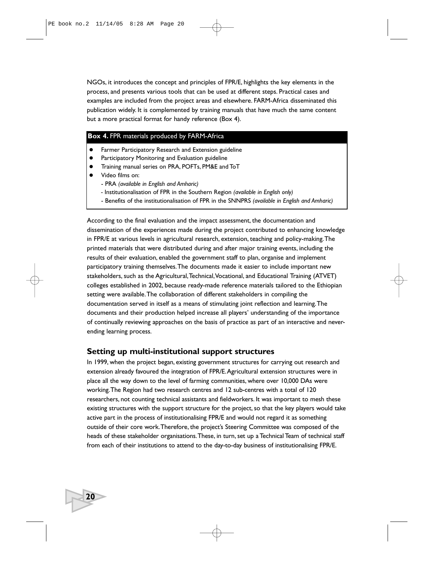NGOs, it introduces the concept and principles of FPR/E, highlights the key elements in the process, and presents various tools that can be used at different steps. Practical cases and examples are included from the project areas and elsewhere. FARM-Africa disseminated this publication widely. It is complemented by training manuals that have much the same content but a more practical format for handy reference (Box 4).

#### **Box 4.** FPR materials produced by FARM-Africa

- **•** Farmer Participatory Research and Extension guideline
- Participatory Monitoring and Evaluation guideline
- Training manual series on PRA, POFTs, PM&E and ToT
- Video films on:

**20**

- PRA *(available in English and Amharic)*
- Institutionalisation of FPR in the Southern Region *(available in English only)*
- Benefits of the institutionalisation of FPR in the SNNPRS *(available in English and Amharic)*

According to the final evaluation and the impact assessment, the documentation and dissemination of the experiences made during the project contributed to enhancing knowledge in FPR/E at various levels in agricultural research, extension, teaching and policy-making.The printed materials that were distributed during and after major training events, including the results of their evaluation, enabled the government staff to plan, organise and implement participatory training themselves.The documents made it easier to include important new stakeholders, such as the Agricultural,Technical,Vocational, and Educational Training (ATVET) colleges established in 2002, because ready-made reference materials tailored to the Ethiopian setting were available.The collaboration of different stakeholders in compiling the documentation served in itself as a means of stimulating joint reflection and learning.The documents and their production helped increase all players' understanding of the importance of continually reviewing approaches on the basis of practice as part of an interactive and neverending learning process.

## **Setting up multi-institutional support structures**

In 1999, when the project began, existing government structures for carrying out research and extension already favoured the integration of FPR/E.Agricultural extension structures were in place all the way down to the level of farming communities, where over 10,000 DAs were working.The Region had two research centres and 12 sub-centres with a total of 120 researchers, not counting technical assistants and fieldworkers. It was important to mesh these existing structures with the support structure for the project, so that the key players would take active part in the process of institutionalising FPR/E and would not regard it as something outside of their core work.Therefore, the project's Steering Committee was composed of the heads of these stakeholder organisations.These, in turn, set up a Technical Team of technical staff from each of their institutions to attend to the day-to-day business of institutionalising FPR/E.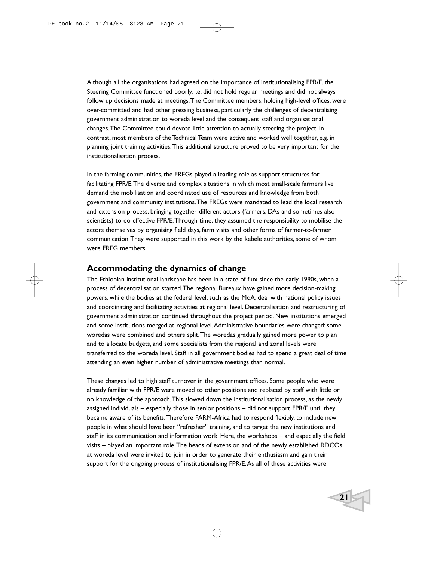Although all the organisations had agreed on the importance of institutionalising FPR/E, the Steering Committee functioned poorly, i.e. did not hold regular meetings and did not always follow up decisions made at meetings.The Committee members, holding high-level offices, were over-committed and had other pressing business, particularly the challenges of decentralising government administration to woreda level and the consequent staff and organisational changes.The Committee could devote little attention to actually steering the project. In contrast, most members of the Technical Team were active and worked well together, e.g. in planning joint training activities.This additional structure proved to be very important for the institutionalisation process.

In the farming communities, the FREGs played a leading role as support structures for facilitating FPR/E.The diverse and complex situations in which most small-scale farmers live demand the mobilisation and coordinated use of resources and knowledge from both government and community institutions.The FREGs were mandated to lead the local research and extension process, bringing together different actors (farmers, DAs and sometimes also scientists) to do effective FPR/E.Through time, they assumed the responsibility to mobilise the actors themselves by organising field days, farm visits and other forms of farmer-to-farmer communication.They were supported in this work by the kebele authorities, some of whom were FREG members.

## **Accommodating the dynamics of change**

The Ethiopian institutional landscape has been in a state of flux since the early 1990s, when a process of decentralisation started.The regional Bureaux have gained more decision-making powers, while the bodies at the federal level, such as the MoA, deal with national policy issues and coordinating and facilitating activities at regional level. Decentralisation and restructuring of government administration continued throughout the project period. New institutions emerged and some institutions merged at regional level.Administrative boundaries were changed: some woredas were combined and others split.The woredas gradually gained more power to plan and to allocate budgets, and some specialists from the regional and zonal levels were transferred to the woreda level. Staff in all government bodies had to spend a great deal of time attending an even higher number of administrative meetings than normal.

These changes led to high staff turnover in the government offices. Some people who were already familiar with FPR/E were moved to other positions and replaced by staff with little or no knowledge of the approach.This slowed down the institutionalisation process, as the newly assigned individuals – especially those in senior positions – did not support FPR/E until they became aware of its benefits.Therefore FARM-Africa had to respond flexibly, to include new people in what should have been "refresher" training, and to target the new institutions and staff in its communication and information work. Here, the workshops – and especially the field visits – played an important role.The heads of extension and of the newly established RDCOs at woreda level were invited to join in order to generate their enthusiasm and gain their support for the ongoing process of institutionalising FPR/E.As all of these activities were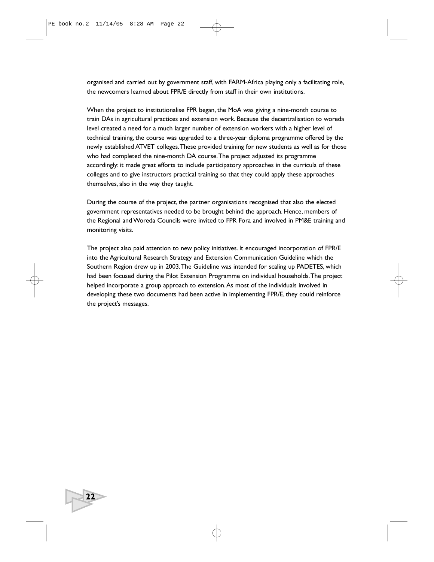organised and carried out by government staff, with FARM-Africa playing only a facilitating role, the newcomers learned about FPR/E directly from staff in their own institutions.

When the project to institutionalise FPR began, the MoA was giving a nine-month course to train DAs in agricultural practices and extension work. Because the decentralisation to woreda level created a need for a much larger number of extension workers with a higher level of technical training, the course was upgraded to a three-year diploma programme offered by the newly established ATVET colleges.These provided training for new students as well as for those who had completed the nine-month DA course.The project adjusted its programme accordingly: it made great efforts to include participatory approaches in the curricula of these colleges and to give instructors practical training so that they could apply these approaches themselves, also in the way they taught.

During the course of the project, the partner organisations recognised that also the elected government representatives needed to be brought behind the approach. Hence, members of the Regional and Woreda Councils were invited to FPR Fora and involved in PM&E training and monitoring visits.

The project also paid attention to new policy initiatives. It encouraged incorporation of FPR/E into the Agricultural Research Strategy and Extension Communication Guideline which the Southern Region drew up in 2003.The Guideline was intended for scaling up PADETES, which had been focused during the Pilot Extension Programme on individual households.The project helped incorporate a group approach to extension. As most of the individuals involved in developing these two documents had been active in implementing FPR/E, they could reinforce the project's messages.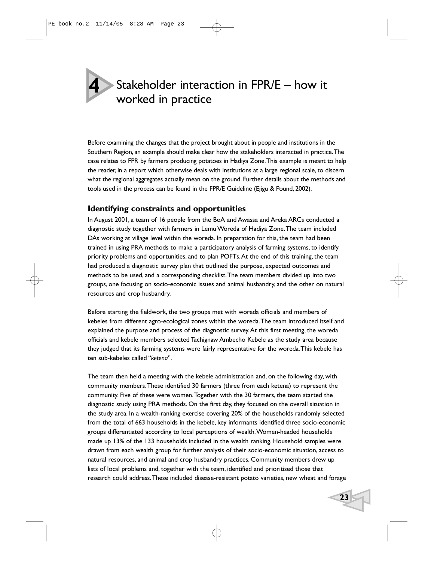# **4**

# Stakeholder interaction in FPR/E – how it worked in practice

Before examining the changes that the project brought about in people and institutions in the Southern Region, an example should make clear how the stakeholders interacted in practice.The case relates to FPR by farmers producing potatoes in Hadiya Zone.This example is meant to help the reader, in a report which otherwise deals with institutions at a large regional scale, to discern what the regional aggregates actually mean on the ground. Further details about the methods and tools used in the process can be found in the FPR/E Guideline (Ejigu & Pound, 2002).

# **Identifying constraints and opportunities**

In August 2001, a team of 16 people from the BoA and Awassa and Areka ARCs conducted a diagnostic study together with farmers in Lemu Woreda of Hadiya Zone.The team included DAs working at village level within the woreda. In preparation for this, the team had been trained in using PRA methods to make a participatory analysis of farming systems, to identify priority problems and opportunities, and to plan POFTs.At the end of this training, the team had produced a diagnostic survey plan that outlined the purpose, expected outcomes and methods to be used, and a corresponding checklist.The team members divided up into two groups, one focusing on socio-economic issues and animal husbandry, and the other on natural resources and crop husbandry.

Before starting the fieldwork, the two groups met with woreda officials and members of kebeles from different agro-ecological zones within the woreda.The team introduced itself and explained the purpose and process of the diagnostic survey.At this first meeting, the woreda officials and kebele members selected Tachignaw Ambecho Kebele as the study area because they judged that its farming systems were fairly representative for the woreda.This kebele has ten sub-kebeles called "*ketena*".

The team then held a meeting with the kebele administration and, on the following day, with community members.These identified 30 farmers (three from each ketena) to represent the community. Five of these were women.Together with the 30 farmers, the team started the diagnostic study using PRA methods. On the first day, they focused on the overall situation in the study area. In a wealth-ranking exercise covering 20% of the households randomly selected from the total of 663 households in the kebele, key informants identified three socio-economic groups differentiated according to local perceptions of wealth.Women-headed households made up 13% of the 133 households included in the wealth ranking. Household samples were drawn from each wealth group for further analysis of their socio-economic situation, access to natural resources, and animal and crop husbandry practices. Community members drew up lists of local problems and, together with the team, identified and prioritised those that research could address.These included disease-resistant potato varieties, new wheat and forage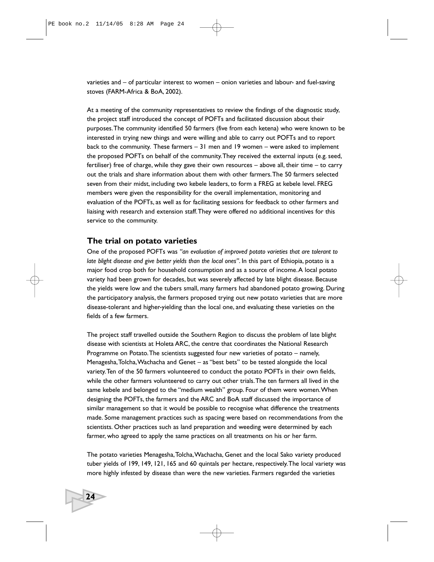varieties and – of particular interest to women – onion varieties and labour- and fuel-saving stoves (FARM-Africa & BoA, 2002).

At a meeting of the community representatives to review the findings of the diagnostic study, the project staff introduced the concept of POFTs and facilitated discussion about their purposes.The community identified 50 farmers (five from each ketena) who were known to be interested in trying new things and were willing and able to carry out POFTs and to report back to the community. These farmers – 31 men and 19 women – were asked to implement the proposed POFTs on behalf of the community.They received the external inputs (e.g. seed, fertiliser) free of charge, while they gave their own resources – above all, their time – to carry out the trials and share information about them with other farmers.The 50 farmers selected seven from their midst, including two kebele leaders, to form a FREG at kebele level. FREG members were given the responsibility for the overall implementation, monitoring and evaluation of the POFTs, as well as for facilitating sessions for feedback to other farmers and liaising with research and extension staff.They were offered no additional incentives for this service to the community.

## **The trial on potato varieties**

**24**

One of the proposed POFTs was *"an evaluation of improved potato varieties that are tolerant to late blight disease and give better yields than the local ones"*. In this part of Ethiopia, potato is a major food crop both for household consumption and as a source of income.A local potato variety had been grown for decades, but was severely affected by late blight disease. Because the yields were low and the tubers small, many farmers had abandoned potato growing. During the participatory analysis, the farmers proposed trying out new potato varieties that are more disease-tolerant and higher-yielding than the local one, and evaluating these varieties on the fields of a few farmers.

The project staff travelled outside the Southern Region to discuss the problem of late blight disease with scientists at Holeta ARC, the centre that coordinates the National Research Programme on Potato.The scientists suggested four new varieties of potato – namely, Menagesha,Tolcha,Wachacha and Genet – as "best bets" to be tested alongside the local variety.Ten of the 50 farmers volunteered to conduct the potato POFTs in their own fields, while the other farmers volunteered to carry out other trials.The ten farmers all lived in the same kebele and belonged to the "medium wealth" group. Four of them were women.When designing the POFTs, the farmers and the ARC and BoA staff discussed the importance of similar management so that it would be possible to recognise what difference the treatments made. Some management practices such as spacing were based on recommendations from the scientists. Other practices such as land preparation and weeding were determined by each farmer, who agreed to apply the same practices on all treatments on his or her farm.

The potato varieties Menagesha,Tolcha,Wachacha, Genet and the local Sako variety produced tuber yields of 199, 149, 121, 165 and 60 quintals per hectare, respectively.The local variety was more highly infested by disease than were the new varieties. Farmers regarded the varieties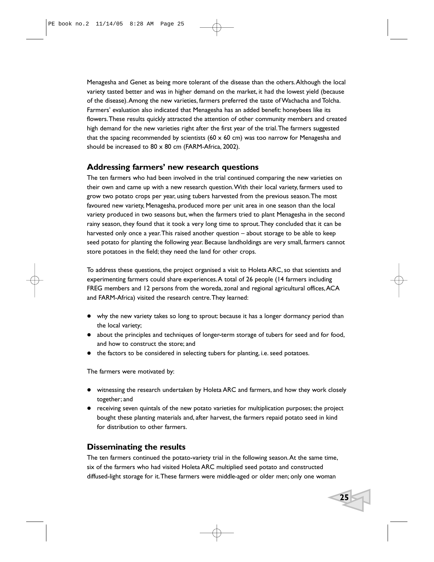Menagesha and Genet as being more tolerant of the disease than the others.Although the local variety tasted better and was in higher demand on the market, it had the lowest yield (because of the disease).Among the new varieties, farmers preferred the taste of Wachacha and Tolcha. Farmers' evaluation also indicated that Menagesha has an added benefit: honeybees like its flowers.These results quickly attracted the attention of other community members and created high demand for the new varieties right after the first year of the trial.The farmers suggested that the spacing recommended by scientists (60  $\times$  60 cm) was too narrow for Menagesha and should be increased to  $80 \times 80$  cm (FARM-Africa, 2002).

# **Addressing farmers' new research questions**

The ten farmers who had been involved in the trial continued comparing the new varieties on their own and came up with a new research question.With their local variety, farmers used to grow two potato crops per year, using tubers harvested from the previous season.The most favoured new variety, Menagesha, produced more per unit area in one season than the local variety produced in two seasons but, when the farmers tried to plant Menagesha in the second rainy season, they found that it took a very long time to sprout.They concluded that it can be harvested only once a year.This raised another question – about storage to be able to keep seed potato for planting the following year. Because landholdings are very small, farmers cannot store potatoes in the field; they need the land for other crops.

To address these questions, the project organised a visit to Holeta ARC, so that scientists and experimenting farmers could share experiences.A total of 26 people (14 farmers including FREG members and 12 persons from the woreda, zonal and regional agricultural offices, ACA and FARM-Africa) visited the research centre.They learned:

- why the new variety takes so long to sprout: because it has a longer dormancy period than the local variety;
- about the principles and techniques of longer-term storage of tubers for seed and for food, and how to construct the store; and
- the factors to be considered in selecting tubers for planting, i.e. seed potatoes.

The farmers were motivated by:

- witnessing the research undertaken by Holeta ARC and farmers, and how they work closely together; and
- receiving seven quintals of the new potato varieties for multiplication purposes; the project bought these planting materials and, after harvest, the farmers repaid potato seed in kind for distribution to other farmers.

## **Disseminating the results**

The ten farmers continued the potato-variety trial in the following season.At the same time, six of the farmers who had visited Holeta ARC multiplied seed potato and constructed diffused-light storage for it.These farmers were middle-aged or older men; only one woman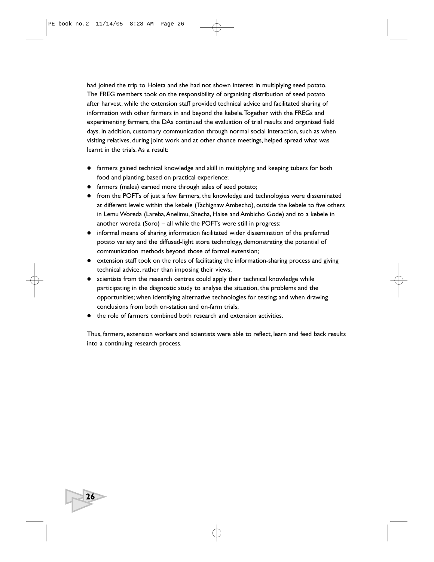had joined the trip to Holeta and she had not shown interest in multiplying seed potato. The FREG members took on the responsibility of organising distribution of seed potato after harvest, while the extension staff provided technical advice and facilitated sharing of information with other farmers in and beyond the kebele.Together with the FREGs and experimenting farmers, the DAs continued the evaluation of trial results and organised field days. In addition, customary communication through normal social interaction, such as when visiting relatives, during joint work and at other chance meetings, helped spread what was learnt in the trials. As a result:

- farmers gained technical knowledge and skill in multiplying and keeping tubers for both food and planting, based on practical experience;
- farmers (males) earned more through sales of seed potato;
- from the POFTs of just a few farmers, the knowledge and technologies were disseminated at different levels: within the kebele (Tachignaw Ambecho), outside the kebele to five others in Lemu Woreda (Lareba, Anelimu, Shecha, Haise and Ambicho Gode) and to a kebele in another woreda (Soro) – all while the POFTs were still in progress;
- informal means of sharing information facilitated wider dissemination of the preferred potato variety and the diffused-light store technology, demonstrating the potential of communication methods beyond those of formal extension;
- extension staff took on the roles of facilitating the information-sharing process and giving technical advice, rather than imposing their views;
- scientists from the research centres could apply their technical knowledge while participating in the diagnostic study to analyse the situation, the problems and the opportunities; when identifying alternative technologies for testing; and when drawing conclusions from both on-station and on-farm trials;
- the role of farmers combined both research and extension activities.

**26**

Thus, farmers, extension workers and scientists were able to reflect, learn and feed back results into a continuing research process.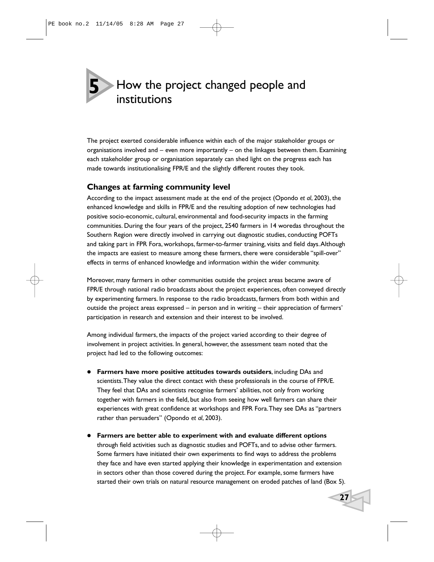How the project changed people and institutions **5**

The project exerted considerable influence within each of the major stakeholder groups or organisations involved and – even more importantly – on the linkages between them. Examining each stakeholder group or organisation separately can shed light on the progress each has made towards institutionalising FPR/E and the slightly different routes they took.

# **Changes at farming community level**

According to the impact assessment made at the end of the project (Opondo *et al*, 2003), the enhanced knowledge and skills in FPR/E and the resulting adoption of new technologies had positive socio-economic, cultural, environmental and food-security impacts in the farming communities. During the four years of the project, 2540 farmers in 14 woredas throughout the Southern Region were directly involved in carrying out diagnostic studies, conducting POFTs and taking part in FPR Fora, workshops, farmer-to-farmer training, visits and field days.Although the impacts are easiest to measure among these farmers, there were considerable "spill-over" effects in terms of enhanced knowledge and information within the wider community.

Moreover, many farmers in other communities outside the project areas became aware of FPR/E through national radio broadcasts about the project experiences, often conveyed directly by experimenting farmers. In response to the radio broadcasts, farmers from both within and outside the project areas expressed  $-$  in person and in writing  $-$  their appreciation of farmers' participation in research and extension and their interest to be involved.

Among individual farmers, the impacts of the project varied according to their degree of involvement in project activities. In general, however, the assessment team noted that the project had led to the following outcomes:

- **Farmers have more positive attitudes towards outsiders**, including DAs and scientists.They value the direct contact with these professionals in the course of FPR/E. They feel that DAs and scientists recognise farmers' abilities, not only from working together with farmers in the field, but also from seeing how well farmers can share their experiences with great confidence at workshops and FPR Fora.They see DAs as "partners rather than persuaders" (Opondo *et al*, 2003).
- **Farmers are better able to experiment with and evaluate different options** through field activities such as diagnostic studies and POFTs, and to advise other farmers. Some farmers have initiated their own experiments to find ways to address the problems they face and have even started applying their knowledge in experimentation and extension in sectors other than those covered during the project. For example, some farmers have started their own trials on natural resource management on eroded patches of land (Box 5).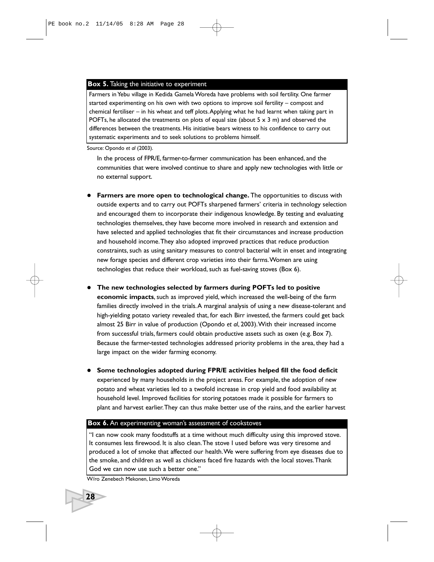#### **Box 5.** Taking the initiative to experiment

Farmers in Yebu village in Kedida Gamela Woreda have problems with soil fertility. One farmer started experimenting on his own with two options to improve soil fertility – compost and chemical fertiliser – in his wheat and teff plots.Applying what he had learnt when taking part in POFTs, he allocated the treatments on plots of equal size (about  $5 \times 3$  m) and observed the differences between the treatments. His initiative bears witness to his confidence to carry out systematic experiments and to seek solutions to problems himself.

Source: Opondo *et al* (2003).

In the process of FPR/E, farmer-to-farmer communication has been enhanced, and the communities that were involved continue to share and apply new technologies with little or no external support.

- **Farmers are more open to technological change.** The opportunities to discuss with outside experts and to carry out POFTs sharpened farmers' criteria in technology selection and encouraged them to incorporate their indigenous knowledge. By testing and evaluating technologies themselves, they have become more involved in research and extension and have selected and applied technologies that fit their circumstances and increase production and household income.They also adopted improved practices that reduce production constraints, such as using sanitary measures to control bacterial wilt in enset and integrating new forage species and different crop varieties into their farms.Women are using technologies that reduce their workload, such as fuel-saving stoves (Box 6).
- **The new technologies selected by farmers during POFTs led to positive economic impacts**, such as improved yield, which increased the well-being of the farm families directly involved in the trials.A marginal analysis of using a new disease-tolerant and high-yielding potato variety revealed that, for each Birr invested, the farmers could get back almost 25 Birr in value of production (Opondo *et al*, 2003).With their increased income from successful trials, farmers could obtain productive assets such as oxen (e.g. Box 7). Because the farmer-tested technologies addressed priority problems in the area, they had a large impact on the wider farming economy.
- **Some technologies adopted during FPR/E activities helped fill the food deficit** experienced by many households in the project areas. For example, the adoption of new potato and wheat varieties led to a twofold increase in crop yield and food availability at household level. Improved facilities for storing potatoes made it possible for farmers to plant and harvest earlier.They can thus make better use of the rains, and the earlier harvest

#### **Box 6.** An experimenting woman's assessment of cookstoves

"I can now cook many foodstuffs at a time without much difficulty using this improved stove. It consumes less firewood. It is also clean.The stove I used before was very tiresome and produced a lot of smoke that affected our health.We were suffering from eye diseases due to the smoke, and children as well as chickens faced fire hazards with the local stoves.Thank God we can now use such a better one."

W/ro Zenebech Mekonen, Limo Woreda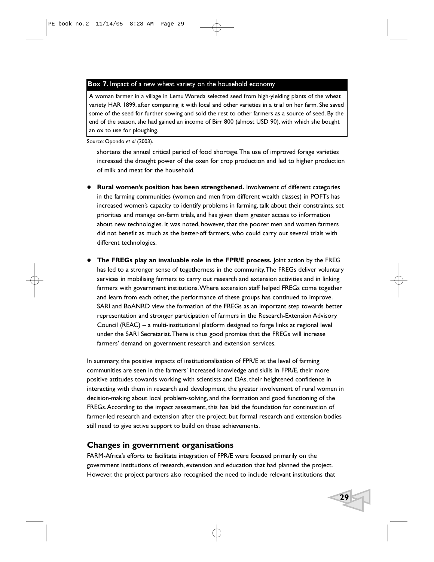#### **Box 7.** Impact of a new wheat variety on the household economy

A woman farmer in a village in Lemu Woreda selected seed from high-yielding plants of the wheat variety HAR 1899, after comparing it with local and other varieties in a trial on her farm. She saved some of the seed for further sowing and sold the rest to other farmers as a source of seed. By the end of the season, she had gained an income of Birr 800 (almost USD 90), with which she bought an ox to use for ploughing.

Source: Opondo *et al* (2003).

shortens the annual critical period of food shortage.The use of improved forage varieties increased the draught power of the oxen for crop production and led to higher production of milk and meat for the household.

- **Rural women's position has been strengthened.** Involvement of different categories in the farming communities (women and men from different wealth classes) in POFTs has increased women's capacity to identify problems in farming, talk about their constraints, set priorities and manage on-farm trials, and has given them greater access to information about new technologies. It was noted, however, that the poorer men and women farmers did not benefit as much as the better-off farmers, who could carry out several trials with different technologies.
- **The FREGs play an invaluable role in the FPR/E process.** Joint action by the FREG has led to a stronger sense of togetherness in the community.The FREGs deliver voluntary services in mobilising farmers to carry out research and extension activities and in linking farmers with government institutions.Where extension staff helped FREGs come together and learn from each other, the performance of these groups has continued to improve. SARI and BoANRD view the formation of the FREGs as an important step towards better representation and stronger participation of farmers in the Research-Extension Advisory Council (REAC) – a multi-institutional platform designed to forge links at regional level under the SARI Secretariat.There is thus good promise that the FREGs will increase farmers' demand on government research and extension services.

In summary, the positive impacts of institutionalisation of FPR/E at the level of farming communities are seen in the farmers' increased knowledge and skills in FPR/E, their more positive attitudes towards working with scientists and DAs, their heightened confidence in interacting with them in research and development, the greater involvement of rural women in decision-making about local problem-solving, and the formation and good functioning of the FREGs.According to the impact assessment, this has laid the foundation for continuation of farmer-led research and extension after the project, but formal research and extension bodies still need to give active support to build on these achievements.

## **Changes in government organisations**

FARM-Africa's efforts to facilitate integration of FPR/E were focused primarily on the government institutions of research, extension and education that had planned the project. However, the project partners also recognised the need to include relevant institutions that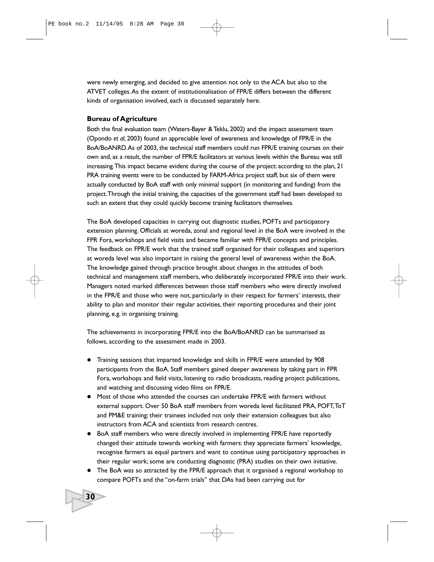were newly emerging, and decided to give attention not only to the ACA but also to the ATVET colleges.As the extent of institutionalisation of FPR/E differs between the different kinds of organisation involved, each is discussed separately here.

#### **Bureau of Agriculture**

**30**

Both the final evaluation team (Waters-Bayer & Teklu, 2002) and the impact assessment team (Opondo *et al*, 2003) found an appreciable level of awareness and knowledge of FPR/E in the BoA/BoANRD.As of 2003, the technical staff members could run FPR/E training courses on their own and, as a result, the number of FPR/E facilitators at various levels within the Bureau was still increasing.This impact became evident during the course of the project: according to the plan, 21 PRA training events were to be conducted by FARM-Africa project staff, but six of them were actually conducted by BoA staff with only minimal support (in monitoring and funding) from the project.Through the initial training, the capacities of the government staff had been developed to such an extent that they could quickly become training facilitators themselves.

The BoA developed capacities in carrying out diagnostic studies, POFTs and participatory extension planning. Officials at woreda, zonal and regional level in the BoA were involved in the FPR Fora, workshops and field visits and became familiar with FPR/E concepts and principles. The feedback on FPR/E work that the trained staff organised for their colleagues and superiors at woreda level was also important in raising the general level of awareness within the BoA. The knowledge gained through practice brought about changes in the attitudes of both technical and management staff members, who deliberately incorporated FPR/E into their work. Managers noted marked differences between those staff members who were directly involved in the FPR/E and those who were not, particularly in their respect for farmers' interests, their ability to plan and monitor their regular activities, their reporting procedures and their joint planning, e.g. in organising training.

The achievements in incorporating FPR/E into the BoA/BoANRD can be summarised as follows, according to the assessment made in 2003.

- Training sessions that imparted knowledge and skills in FPR/E were attended by 908 participants from the BoA. Staff members gained deeper awareness by taking part in FPR Fora, workshops and field visits, listening to radio broadcasts, reading project publications, and watching and discussing video films on FPR/E.
- Most of those who attended the courses can undertake FPR/E with farmers without external support. Over 50 BoA staff members from woreda level facilitated PRA, POFT,ToT and PM&E training; their trainees included not only their extension colleagues but also instructors from ACA and scientists from research centres.
- BoA staff members who were directly involved in implementing FPR/E have reportedly changed their attitude towards working with farmers: they appreciate farmers' knowledge, recognise farmers as equal partners and want to continue using participatory approaches in their regular work; some are conducting diagnostic (PRA) studies on their own initiative.
- The BoA was so attracted by the FPR/E approach that it organised a regional workshop to compare POFTs and the "on-farm trials" that DAs had been carrying out for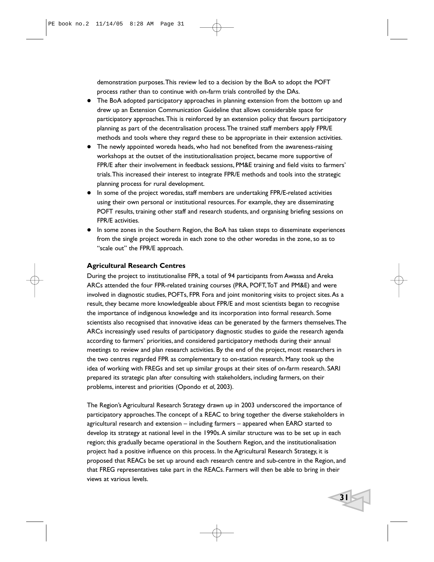demonstration purposes.This review led to a decision by the BoA to adopt the POFT process rather than to continue with on-farm trials controlled by the DAs.

- The BoA adopted participatory approaches in planning extension from the bottom up and drew up an Extension Communication Guideline that allows considerable space for participatory approaches.This is reinforced by an extension policy that favours participatory planning as part of the decentralisation process.The trained staff members apply FPR/E methods and tools where they regard these to be appropriate in their extension activities.
- The newly appointed woreda heads, who had not benefited from the awareness-raising workshops at the outset of the institutionalisation project, became more supportive of FPR/E after their involvement in feedback sessions, PM&E training and field visits to farmers' trials.This increased their interest to integrate FPR/E methods and tools into the strategic planning process for rural development.
- $\bullet$  In some of the project woredas, staff members are undertaking FPR/E-related activities using their own personal or institutional resources. For example, they are disseminating POFT results, training other staff and research students, and organising briefing sessions on FPR/E activities.
- In some zones in the Southern Region, the BoA has taken steps to disseminate experiences from the single project woreda in each zone to the other woredas in the zone, so as to "scale out" the FPR/E approach.

#### **Agricultural Research Centres**

During the project to institutionalise FPR, a total of 94 participants from Awassa and Areka ARCs attended the four FPR-related training courses (PRA, POFT,ToT and PM&E) and were involved in diagnostic studies, POFTs, FPR Fora and joint monitoring visits to project sites.As a result, they became more knowledgeable about FPR/E and most scientists began to recognise the importance of indigenous knowledge and its incorporation into formal research. Some scientists also recognised that innovative ideas can be generated by the farmers themselves.The ARCs increasingly used results of participatory diagnostic studies to guide the research agenda according to farmers' priorities, and considered participatory methods during their annual meetings to review and plan research activities. By the end of the project, most researchers in the two centres regarded FPR as complementary to on-station research. Many took up the idea of working with FREGs and set up similar groups at their sites of on-farm research. SARI prepared its strategic plan after consulting with stakeholders, including farmers, on their problems, interest and priorities (Opondo *et al*, 2003).

The Region's Agricultural Research Strategy drawn up in 2003 underscored the importance of participatory approaches.The concept of a REAC to bring together the diverse stakeholders in agricultural research and extension – including farmers – appeared when EARO started to develop its strategy at national level in the 1990s.A similar structure was to be set up in each region; this gradually became operational in the Southern Region, and the institutionalisation project had a positive influence on this process. In the Agricultural Research Strategy, it is proposed that REACs be set up around each research centre and sub-centre in the Region, and that FREG representatives take part in the REACs. Farmers will then be able to bring in their views at various levels.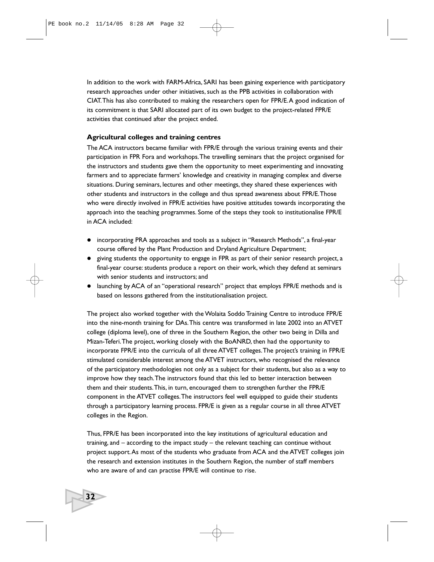In addition to the work with FARM-Africa, SARI has been gaining experience with participatory research approaches under other initiatives, such as the PPB activities in collaboration with CIAT.This has also contributed to making the researchers open for FPR/E.A good indication of its commitment is that SARI allocated part of its own budget to the project-related FPR/E activities that continued after the project ended.

#### **Agricultural colleges and training centres**

The ACA instructors became familiar with FPR/E through the various training events and their participation in FPR Fora and workshops.The travelling seminars that the project organised for the instructors and students gave them the opportunity to meet experimenting and innovating farmers and to appreciate farmers' knowledge and creativity in managing complex and diverse situations. During seminars, lectures and other meetings, they shared these experiences with other students and instructors in the college and thus spread awareness about FPR/E.Those who were directly involved in FPR/E activities have positive attitudes towards incorporating the approach into the teaching programmes. Some of the steps they took to institutionalise FPR/E in ACA included:

- incorporating PRA approaches and tools as a subject in "Research Methods", a final-year course offered by the Plant Production and Dryland Agriculture Department;
- giving students the opportunity to engage in FPR as part of their senior research project, a final-year course: students produce a report on their work, which they defend at seminars with senior students and instructors; and
- launching by ACA of an "operational research" project that employs FPR/E methods and is based on lessons gathered from the institutionalisation project.

The project also worked together with the Wolaita Soddo Training Centre to introduce FPR/E into the nine-month training for DAs.This centre was transformed in late 2002 into an ATVET college (diploma level), one of three in the Southern Region, the other two being in Dilla and Mizan-Teferi.The project, working closely with the BoANRD, then had the opportunity to incorporate FPR/E into the curricula of all three ATVET colleges.The project's training in FPR/E stimulated considerable interest among the ATVET instructors, who recognised the relevance of the participatory methodologies not only as a subject for their students, but also as a way to improve how they teach.The instructors found that this led to better interaction between them and their students.This, in turn, encouraged them to strengthen further the FPR/E component in the ATVET colleges.The instructors feel well equipped to guide their students through a participatory learning process. FPR/E is given as a regular course in all three ATVET colleges in the Region.

Thus, FPR/E has been incorporated into the key institutions of agricultural education and training, and – according to the impact study – the relevant teaching can continue without project support.As most of the students who graduate from ACA and the ATVET colleges join the research and extension institutes in the Southern Region, the number of staff members who are aware of and can practise FPR/E will continue to rise.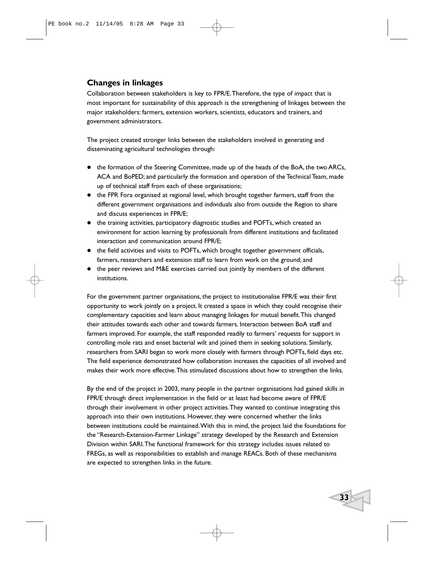# **Changes in linkages**

Collaboration between stakeholders is key to FPR/E.Therefore, the type of impact that is most important for sustainability of this approach is the strengthening of linkages between the major stakeholders: farmers, extension workers, scientists, educators and trainers, and government administrators.

The project created stronger links between the stakeholders involved in generating and disseminating agricultural technologies through:

- the formation of the Steering Committee, made up of the heads of the BoA, the two ARCs, ACA and BoPED; and particularly the formation and operation of the Technical Team, made up of technical staff from each of these organisations;
- the FPR Fora organised at regional level, which brought together farmers, staff from the different government organisations and individuals also from outside the Region to share and discuss experiences in FPR/E;
- the training activities, participatory diagnostic studies and POFTs, which created an environment for action learning by professionals from different institutions and facilitated interaction and communication around FPR/E;
- the field activities and visits to POFTs, which brought together government officials, farmers, researchers and extension staff to learn from work on the ground; and
- the peer reviews and M&E exercises carried out jointly by members of the different institutions.

For the government partner organisations, the project to institutionalise FPR/E was their first opportunity to work jointly on a project. It created a space in which they could recognise their complementary capacities and learn about managing linkages for mutual benefit.This changed their attitudes towards each other and towards farmers. Interaction between BoA staff and farmers improved. For example, the staff responded readily to farmers' requests for support in controlling mole rats and enset bacterial wilt and joined them in seeking solutions. Similarly, researchers from SARI began to work more closely with farmers through POFTs, field days etc. The field experience demonstrated how collaboration increases the capacities of all involved and makes their work more effective.This stimulated discussions about how to strengthen the links.

By the end of the project in 2003, many people in the partner organisations had gained skills in FPR/E through direct implementation in the field or at least had become aware of FPR/E through their involvement in other project activities.They wanted to continue integrating this approach into their own institutions. However, they were concerned whether the links between institutions could be maintained.With this in mind, the project laid the foundations for the "Research-Extension-Farmer Linkage" strategy developed by the Research and Extension Division within SARI.The functional framework for this strategy includes issues related to FREGs, as well as responsibilities to establish and manage REACs. Both of these mechanisms are expected to strengthen links in the future.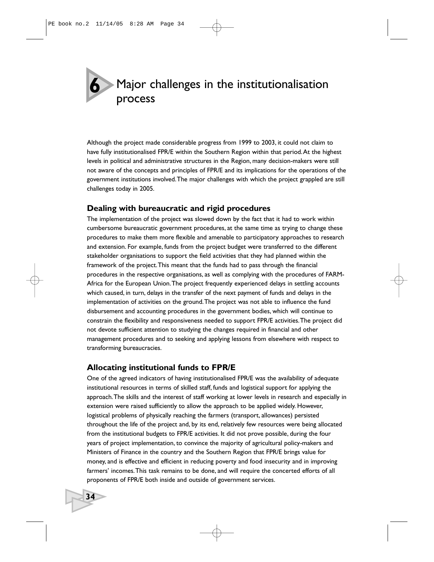Major challenges in the institutionalisation process **6**

Although the project made considerable progress from 1999 to 2003, it could not claim to have fully institutionalised FPR/E within the Southern Region within that period.At the highest levels in political and administrative structures in the Region, many decision-makers were still not aware of the concepts and principles of FPR/E and its implications for the operations of the government institutions involved.The major challenges with which the project grappled are still challenges today in 2005.

# **Dealing with bureaucratic and rigid procedures**

The implementation of the project was slowed down by the fact that it had to work within cumbersome bureaucratic government procedures, at the same time as trying to change these procedures to make them more flexible and amenable to participatory approaches to research and extension. For example, funds from the project budget were transferred to the different stakeholder organisations to support the field activities that they had planned within the framework of the project.This meant that the funds had to pass through the financial procedures in the respective organisations, as well as complying with the procedures of FARM-Africa for the European Union.The project frequently experienced delays in settling accounts which caused, in turn, delays in the transfer of the next payment of funds and delays in the implementation of activities on the ground.The project was not able to influence the fund disbursement and accounting procedures in the government bodies, which will continue to constrain the flexibility and responsiveness needed to support FPR/E activities.The project did not devote sufficient attention to studying the changes required in financial and other management procedures and to seeking and applying lessons from elsewhere with respect to transforming bureaucracies.

# **Allocating institutional funds to FPR/E**

**34**

One of the agreed indicators of having institutionalised FPR/E was the availability of adequate institutional resources in terms of skilled staff, funds and logistical support for applying the approach.The skills and the interest of staff working at lower levels in research and especially in extension were raised sufficiently to allow the approach to be applied widely. However, logistical problems of physically reaching the farmers (transport, allowances) persisted throughout the life of the project and, by its end, relatively few resources were being allocated from the institutional budgets to FPR/E activities. It did not prove possible, during the four years of project implementation, to convince the majority of agricultural policy-makers and Ministers of Finance in the country and the Southern Region that FPR/E brings value for money, and is effective and efficient in reducing poverty and food insecurity and in improving farmers' incomes.This task remains to be done, and will require the concerted efforts of all proponents of FPR/E both inside and outside of government services.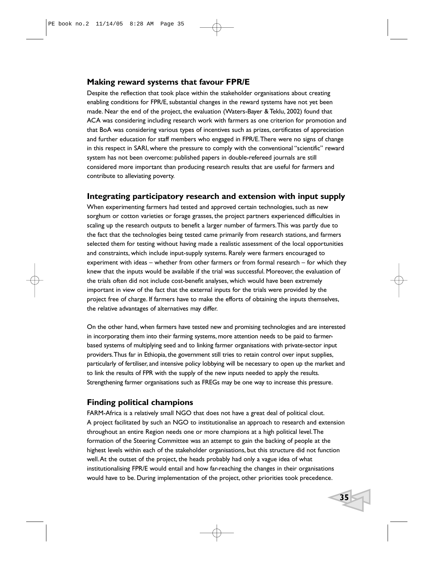# **Making reward systems that favour FPR/E**

Despite the reflection that took place within the stakeholder organisations about creating enabling conditions for FPR/E, substantial changes in the reward systems have not yet been made. Near the end of the project, the evaluation (Waters-Bayer & Teklu, 2002) found that ACA was considering including research work with farmers as one criterion for promotion and that BoA was considering various types of incentives such as prizes, certificates of appreciation and further education for staff members who engaged in FPR/E.There were no signs of change in this respect in SARI, where the pressure to comply with the conventional "scientific" reward system has not been overcome: published papers in double-refereed journals are still considered more important than producing research results that are useful for farmers and contribute to alleviating poverty.

## **Integrating participatory research and extension with input supply**

When experimenting farmers had tested and approved certain technologies, such as new sorghum or cotton varieties or forage grasses, the project partners experienced difficulties in scaling up the research outputs to benefit a larger number of farmers.This was partly due to the fact that the technologies being tested came primarily from research stations, and farmers selected them for testing without having made a realistic assessment of the local opportunities and constraints, which include input-supply systems. Rarely were farmers encouraged to experiment with ideas – whether from other farmers or from formal research – for which they knew that the inputs would be available if the trial was successful. Moreover, the evaluation of the trials often did not include cost-benefit analyses, which would have been extremely important in view of the fact that the external inputs for the trials were provided by the project free of charge. If farmers have to make the efforts of obtaining the inputs themselves, the relative advantages of alternatives may differ.

On the other hand, when farmers have tested new and promising technologies and are interested in incorporating them into their farming systems, more attention needs to be paid to farmerbased systems of multiplying seed and to linking farmer organisations with private-sector input providers.Thus far in Ethiopia, the government still tries to retain control over input supplies, particularly of fertiliser, and intensive policy lobbying will be necessary to open up the market and to link the results of FPR with the supply of the new inputs needed to apply the results. Strengthening farmer organisations such as FREGs may be one way to increase this pressure.

# **Finding political champions**

FARM-Africa is a relatively small NGO that does not have a great deal of political clout. A project facilitated by such an NGO to institutionalise an approach to research and extension throughout an entire Region needs one or more champions at a high political level.The formation of the Steering Committee was an attempt to gain the backing of people at the highest levels within each of the stakeholder organisations, but this structure did not function well.At the outset of the project, the heads probably had only a vague idea of what institutionalising FPR/E would entail and how far-reaching the changes in their organisations would have to be. During implementation of the project, other priorities took precedence.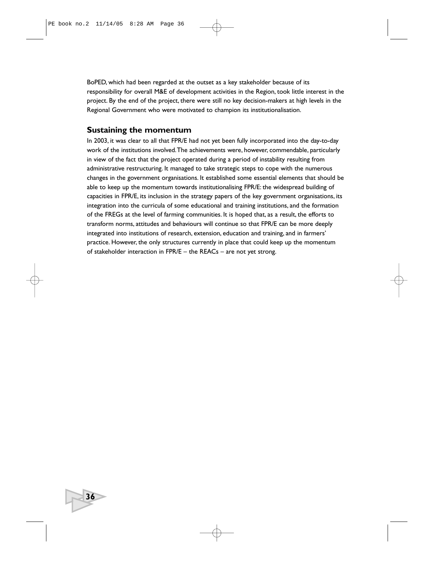BoPED, which had been regarded at the outset as a key stakeholder because of its responsibility for overall M&E of development activities in the Region, took little interest in the project. By the end of the project, there were still no key decision-makers at high levels in the Regional Government who were motivated to champion its institutionalisation.

## **Sustaining the momentum**

**36**

In 2003, it was clear to all that FPR/E had not yet been fully incorporated into the day-to-day work of the institutions involved.The achievements were, however, commendable, particularly in view of the fact that the project operated during a period of instability resulting from administrative restructuring. It managed to take strategic steps to cope with the numerous changes in the government organisations. It established some essential elements that should be able to keep up the momentum towards institutionalising FPR/E: the widespread building of capacities in FPR/E, its inclusion in the strategy papers of the key government organisations, its integration into the curricula of some educational and training institutions, and the formation of the FREGs at the level of farming communities. It is hoped that, as a result, the efforts to transform norms, attitudes and behaviours will continue so that FPR/E can be more deeply integrated into institutions of research, extension, education and training, and in farmers' practice. However, the only structures currently in place that could keep up the momentum of stakeholder interaction in FPR/E – the REACs – are not yet strong.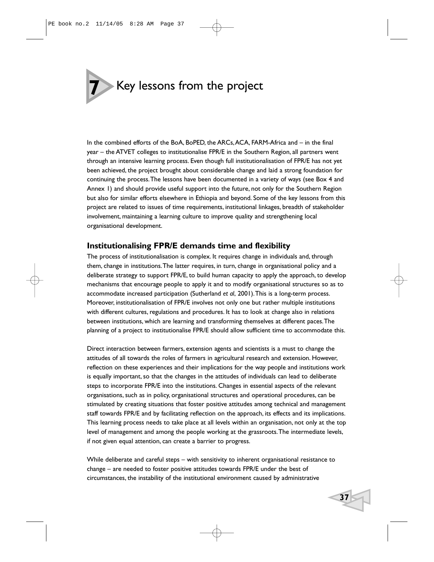# **7** Key lessons from the project

In the combined efforts of the BoA, BoPED, the ARCs, ACA, FARM-Africa and – in the final year – the ATVET colleges to institutionalise FPR/E in the Southern Region, all partners went through an intensive learning process. Even though full institutionalisation of FPR/E has not yet been achieved, the project brought about considerable change and laid a strong foundation for continuing the process.The lessons have been documented in a variety of ways (see Box 4 and Annex 1) and should provide useful support into the future, not only for the Southern Region but also for similar efforts elsewhere in Ethiopia and beyond. Some of the key lessons from this project are related to issues of time requirements, institutional linkages, breadth of stakeholder involvement, maintaining a learning culture to improve quality and strengthening local organisational development.

# **Institutionalising FPR/E demands time and flexibility**

The process of institutionalisation is complex. It requires change in individuals and, through them, change in institutions.The latter requires, in turn, change in organisational policy and a deliberate strategy to support FPR/E, to build human capacity to apply the approach, to develop mechanisms that encourage people to apply it and to modify organisational structures so as to accommodate increased participation (Sutherland *et al*, 2001).This is a long-term process. Moreover, institutionalisation of FPR/E involves not only one but rather multiple institutions with different cultures, regulations and procedures. It has to look at change also in relations between institutions, which are learning and transforming themselves at different paces.The planning of a project to institutionalise FPR/E should allow sufficient time to accommodate this.

Direct interaction between farmers, extension agents and scientists is a must to change the attitudes of all towards the roles of farmers in agricultural research and extension. However, reflection on these experiences and their implications for the way people and institutions work is equally important, so that the changes in the attitudes of individuals can lead to deliberate steps to incorporate FPR/E into the institutions. Changes in essential aspects of the relevant organisations, such as in policy, organisational structures and operational procedures, can be stimulated by creating situations that foster positive attitudes among technical and management staff towards FPR/E and by facilitating reflection on the approach, its effects and its implications. This learning process needs to take place at all levels within an organisation, not only at the top level of management and among the people working at the grassroots.The intermediate levels, if not given equal attention, can create a barrier to progress.

While deliberate and careful steps – with sensitivity to inherent organisational resistance to change – are needed to foster positive attitudes towards FPR/E under the best of circumstances, the instability of the institutional environment caused by administrative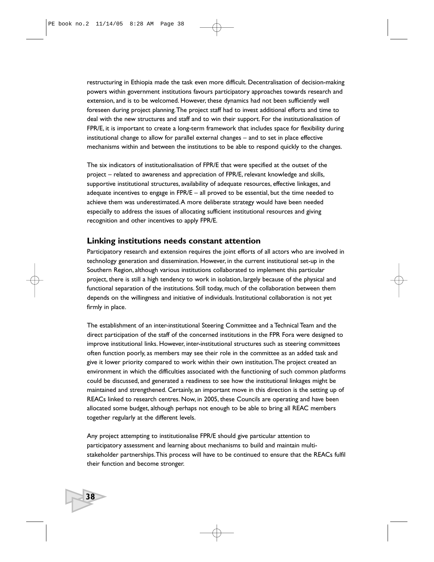restructuring in Ethiopia made the task even more difficult. Decentralisation of decision-making powers within government institutions favours participatory approaches towards research and extension, and is to be welcomed. However, these dynamics had not been sufficiently well foreseen during project planning.The project staff had to invest additional efforts and time to deal with the new structures and staff and to win their support. For the institutionalisation of FPR/E, it is important to create a long-term framework that includes space for flexibility during institutional change to allow for parallel external changes – and to set in place effective mechanisms within and between the institutions to be able to respond quickly to the changes.

The six indicators of institutionalisation of FPR/E that were specified at the outset of the project – related to awareness and appreciation of FPR/E, relevant knowledge and skills, supportive institutional structures, availability of adequate resources, effective linkages, and adequate incentives to engage in FPR/E – all proved to be essential, but the time needed to achieve them was underestimated.A more deliberate strategy would have been needed especially to address the issues of allocating sufficient institutional resources and giving recognition and other incentives to apply FPR/E.

### **Linking institutions needs constant attention**

**38**

Participatory research and extension requires the joint efforts of all actors who are involved in technology generation and dissemination. However, in the current institutional set-up in the Southern Region, although various institutions collaborated to implement this particular project, there is still a high tendency to work in isolation, largely because of the physical and functional separation of the institutions. Still today, much of the collaboration between them depends on the willingness and initiative of individuals. Institutional collaboration is not yet firmly in place.

The establishment of an inter-institutional Steering Committee and a Technical Team and the direct participation of the staff of the concerned institutions in the FPR Fora were designed to improve institutional links. However, inter-institutional structures such as steering committees often function poorly, as members may see their role in the committee as an added task and give it lower priority compared to work within their own institution.The project created an environment in which the difficulties associated with the functioning of such common platforms could be discussed, and generated a readiness to see how the institutional linkages might be maintained and strengthened. Certainly, an important move in this direction is the setting up of REACs linked to research centres. Now, in 2005, these Councils are operating and have been allocated some budget, although perhaps not enough to be able to bring all REAC members together regularly at the different levels.

Any project attempting to institutionalise FPR/E should give particular attention to participatory assessment and learning about mechanisms to build and maintain multistakeholder partnerships.This process will have to be continued to ensure that the REACs fulfil their function and become stronger.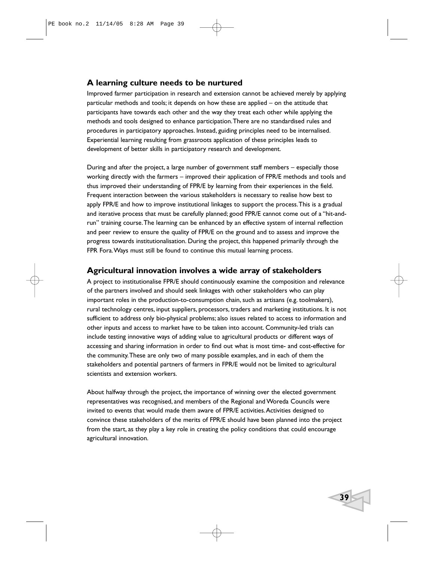# **A learning culture needs to be nurtured**

Improved farmer participation in research and extension cannot be achieved merely by applying particular methods and tools; it depends on how these are applied – on the attitude that participants have towards each other and the way they treat each other while applying the methods and tools designed to enhance participation.There are no standardised rules and procedures in participatory approaches. Instead, guiding principles need to be internalised. Experiential learning resulting from grassroots application of these principles leads to development of better skills in participatory research and development.

During and after the project, a large number of government staff members – especially those working directly with the farmers – improved their application of FPR/E methods and tools and thus improved their understanding of FPR/E by learning from their experiences in the field. Frequent interaction between the various stakeholders is necessary to realise how best to apply FPR/E and how to improve institutional linkages to support the process.This is a gradual and iterative process that must be carefully planned; good FPR/E cannot come out of a "hit-andrun" training course.The learning can be enhanced by an effective system of internal reflection and peer review to ensure the quality of FPR/E on the ground and to assess and improve the progress towards institutionalisation. During the project, this happened primarily through the FPR Fora.Ways must still be found to continue this mutual learning process.

# **Agricultural innovation involves a wide array of stakeholders**

A project to institutionalise FPR/E should continuously examine the composition and relevance of the partners involved and should seek linkages with other stakeholders who can play important roles in the production-to-consumption chain, such as artisans (e.g. toolmakers), rural technology centres, input suppliers, processors, traders and marketing institutions. It is not sufficient to address only bio-physical problems; also issues related to access to information and other inputs and access to market have to be taken into account. Community-led trials can include testing innovative ways of adding value to agricultural products or different ways of accessing and sharing information in order to find out what is most time- and cost-effective for the community.These are only two of many possible examples, and in each of them the stakeholders and potential partners of farmers in FPR/E would not be limited to agricultural scientists and extension workers.

About halfway through the project, the importance of winning over the elected government representatives was recognised, and members of the Regional and Woreda Councils were invited to events that would made them aware of FPR/E activities.Activities designed to convince these stakeholders of the merits of FPR/E should have been planned into the project from the start, as they play a key role in creating the policy conditions that could encourage agricultural innovation.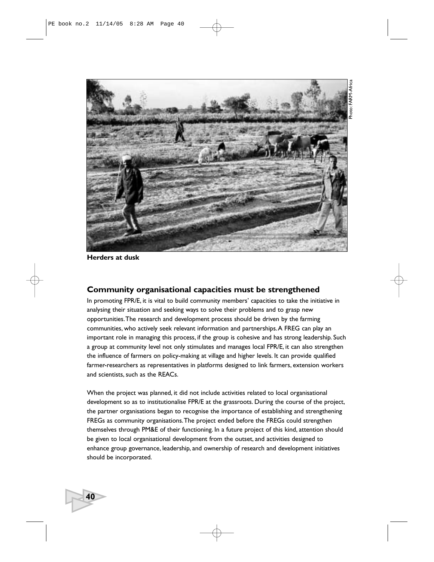

**Herders at dusk**

**40**

# **Community organisational capacities must be strengthened**

In promoting FPR/E, it is vital to build community members' capacities to take the initiative in analysing their situation and seeking ways to solve their problems and to grasp new opportunities.The research and development process should be driven by the farming communities, who actively seek relevant information and partnerships.A FREG can play an important role in managing this process, if the group is cohesive and has strong leadership. Such a group at community level not only stimulates and manages local FPR/E, it can also strengthen the influence of farmers on policy-making at village and higher levels. It can provide qualified farmer-researchers as representatives in platforms designed to link farmers, extension workers and scientists, such as the REACs.

When the project was planned, it did not include activities related to local organisational development so as to institutionalise FPR/E at the grassroots. During the course of the project, the partner organisations began to recognise the importance of establishing and strengthening FREGs as community organisations.The project ended before the FREGs could strengthen themselves through PM&E of their functioning. In a future project of this kind, attention should be given to local organisational development from the outset, and activities designed to enhance group governance, leadership, and ownership of research and development initiatives should be incorporated.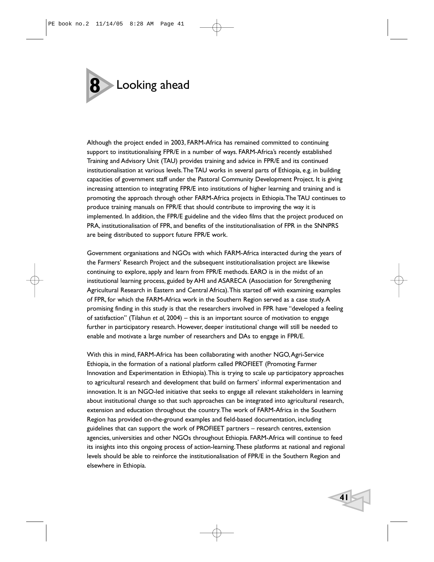

Although the project ended in 2003, FARM-Africa has remained committed to continuing support to institutionalising FPR/E in a number of ways. FARM-Africa's recently established Training and Advisory Unit (TAU) provides training and advice in FPR/E and its continued institutionalisation at various levels.The TAU works in several parts of Ethiopia, e.g. in building capacities of government staff under the Pastoral Community Development Project. It is giving increasing attention to integrating FPR/E into institutions of higher learning and training and is promoting the approach through other FARM-Africa projects in Ethiopia.The TAU continues to produce training manuals on FPR/E that should contribute to improving the way it is implemented. In addition, the FPR/E guideline and the video films that the project produced on PRA, institutionalisation of FPR, and benefits of the institutionalisation of FPR in the SNNPRS are being distributed to support future FPR/E work.

Government organisations and NGOs with which FARM-Africa interacted during the years of the Farmers' Research Project and the subsequent institutionalisation project are likewise continuing to explore, apply and learn from FPR/E methods. EARO is in the midst of an institutional learning process, guided by AHI and ASARECA (Association for Strengthening Agricultural Research in Eastern and Central Africa).This started off with examining examples of FPR, for which the FARM-Africa work in the Southern Region served as a case study.A promising finding in this study is that the researchers involved in FPR have "developed a feeling of satisfaction" (Tilahun *et al*, 2004) – this is an important source of motivation to engage further in participatory research. However, deeper institutional change will still be needed to enable and motivate a large number of researchers and DAs to engage in FPR/E.

With this in mind, FARM-Africa has been collaborating with another NGO,Agri-Service Ethiopia, in the formation of a national platform called PROFIEET (Promoting Farmer Innovation and Experimentation in Ethiopia).This is trying to scale up participatory approaches to agricultural research and development that build on farmers' informal experimentation and innovation. It is an NGO-led initiative that seeks to engage all relevant stakeholders in learning about institutional change so that such approaches can be integrated into agricultural research, extension and education throughout the country.The work of FARM-Africa in the Southern Region has provided on-the-ground examples and field-based documentation, including guidelines that can support the work of PROFIEET partners – research centres, extension agencies, universities and other NGOs throughout Ethiopia. FARM-Africa will continue to feed its insights into this ongoing process of action-learning.These platforms at national and regional levels should be able to reinforce the institutionalisation of FPR/E in the Southern Region and elsewhere in Ethiopia.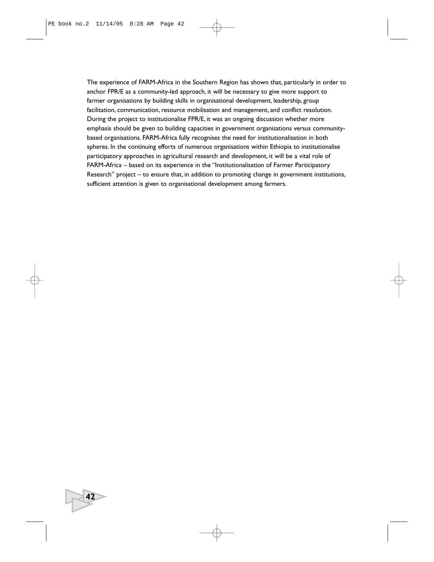The experience of FARM-Africa in the Southern Region has shown that, particularly in order to anchor FPR/E as a community-led approach, it will be necessary to give more support to farmer organisations by building skills in organisational development, leadership, group facilitation, communication, resource mobilisation and management, and conflict resolution. During the project to institutionalise FPR/E, it was an ongoing discussion whether more emphasis should be given to building capacities in government organisations versus communitybased organisations. FARM-Africa fully recognises the need for institutionalisation in both spheres. In the continuing efforts of numerous organisations within Ethiopia to institutionalise participatory approaches in agricultural research and development, it will be a vital role of FARM-Africa – based on its experience in the "Institutionalisation of Farmer Participatory Research" project – to ensure that, in addition to promoting change in government institutions, sufficient attention is given to organisational development among farmers.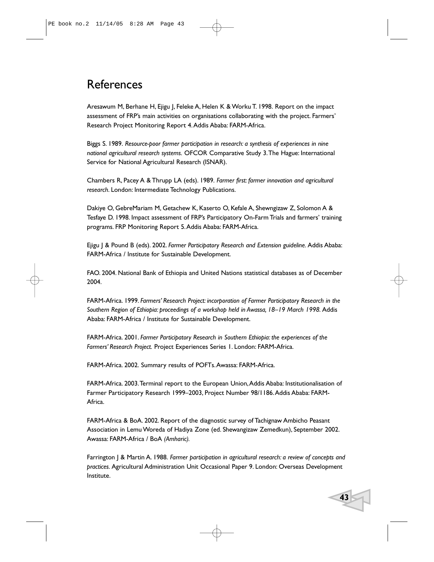# References

Aresawum M, Berhane H, Ejigu J, Feleke A, Helen K & Worku T. 1998. Report on the impact assessment of FRP's main activities on organisations collaborating with the project. Farmers' Research Project Monitoring Report 4.Addis Ababa: FARM-Africa.

Biggs S. 1989. *Resource-poor farmer participation in research: a synthesis of experiences in nine national agricultural research systems.* OFCOR Comparative Study 3.The Hague: International Service for National Agricultural Research (ISNAR).

Chambers R, Pacey A & Thrupp LA (eds). 1989. *Farmer first: farmer innovation and agricultural research*. London: Intermediate Technology Publications.

Dakiye O, GebreMariam M, Getachew K, Kaserto O, Kefale A, Shewngizaw Z, Solomon A & Tesfaye D. 1998. Impact assessment of FRP's Participatory On-Farm Trials and farmers' training programs. FRP Monitoring Report 5.Addis Ababa: FARM-Africa.

Ejigu J & Pound B (eds). 2002. *Farmer Participatory Research and Extension guideline.* Addis Ababa: FARM-Africa / Institute for Sustainable Development.

FAO. 2004. National Bank of Ethiopia and United Nations statistical databases as of December 2004.

FARM-Africa. 1999. *Farmers' Research Project: incorporation of Farmer Participatory Research in the Southern Region of Ethiopia: proceedings of a workshop held in Awassa, 18–19 March 1998.* Addis Ababa: FARM-Africa / Institute for Sustainable Development.

FARM-Africa. 2001. *Farmer Participatory Research in Southern Ethiopia: the experiences of the Farmers' Research Project.* Project Experiences Series 1. London: FARM-Africa.

FARM-Africa. 2002. Summary results of POFTs.Awassa: FARM-Africa.

FARM-Africa. 2003.Terminal report to the European Union,Addis Ababa: Institutionalisation of Farmer Participatory Research 1999–2003, Project Number 98/1186.Addis Ababa: FARM-Africa.

FARM-Africa & BoA. 2002. Report of the diagnostic survey of Tachignaw Ambicho Peasant Association in Lemu Woreda of Hadiya Zone (ed. Shewangizaw Zemedkun), September 2002. Awassa: FARM-Africa / BoA *(Amharic).*

Farrington J & Martin A. 1988. *Farmer participation in agricultural research: a review of concepts and practices.* Agricultural Administration Unit Occasional Paper 9. London: Overseas Development Institute.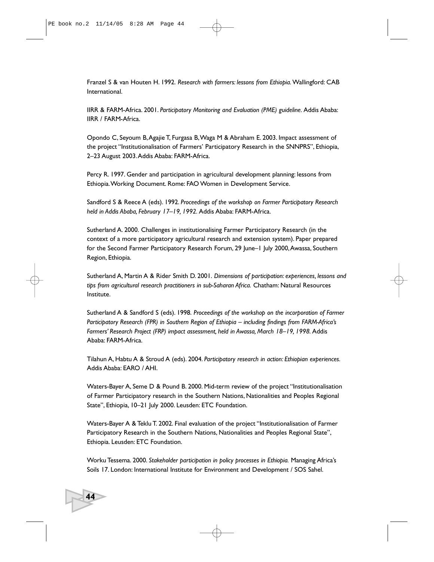Franzel S & van Houten H. 1992. *Research with farmers: lessons from Ethiopia.*Wallingford: CAB International.

IIRR & FARM-Africa. 2001. *Participatory Monitoring and Evaluation (PME) guideline.* Addis Ababa: IIRR / FARM-Africa.

Opondo C, Seyoum B,Agajie T, Furgasa B,Waga M & Abraham E. 2003. Impact assessment of the project "Institutionalisation of Farmers' Participatory Research in the SNNPRS", Ethiopia, 2–23 August 2003.Addis Ababa: FARM-Africa.

Percy R. 1997. Gender and participation in agricultural development planning: lessons from Ethiopia.Working Document. Rome: FAO Women in Development Service.

Sandford S & Reece A (eds). 1992. *Proceedings of the workshop on Farmer Participatory Research held in Addis Ababa, February 17–19, 1992.* Addis Ababa: FARM-Africa.

Sutherland A. 2000. Challenges in institutionalising Farmer Participatory Research (in the context of a more participatory agricultural research and extension system). Paper prepared for the Second Farmer Participatory Research Forum, 29 June–1 July 2000, Awassa, Southern Region, Ethiopia.

Sutherland A, Martin A & Rider Smith D. 2001. *Dimensions of participation: experiences, lessons and tips from agricultural research practitioners in sub-Saharan Africa.* Chatham: Natural Resources Institute.

Sutherland A & Sandford S (eds). 1998. *Proceedings of the workshop on the incorporation of Farmer Participatory Research (FPR) in Southern Region of Ethiopia – including findings from FARM-Africa's Farmers' Research Project (FRP) impact assessment, held in Awassa, March 18–19, 1998.* Addis Ababa: FARM-Africa.

Tilahun A, Habtu A & Stroud A (eds). 2004. *Participatory research in action: Ethiopian experiences.* Addis Ababa: EARO / AHI.

Waters-Bayer A, Seme D & Pound B. 2000. Mid-term review of the project "Institutionalisation of Farmer Participatory research in the Southern Nations, Nationalities and Peoples Regional State", Ethiopia, 10-21 July 2000. Leusden: ETC Foundation.

Waters-Bayer A & Teklu T. 2002. Final evaluation of the project "Institutionalisation of Farmer Participatory Research in the Southern Nations, Nationalities and Peoples Regional State", Ethiopia. Leusden: ETC Foundation.

Worku Tessema. 2000. *Stakeholder participation in policy processes in Ethiopia.* Managing Africa's Soils 17. London: International Institute for Environment and Development / SOS Sahel.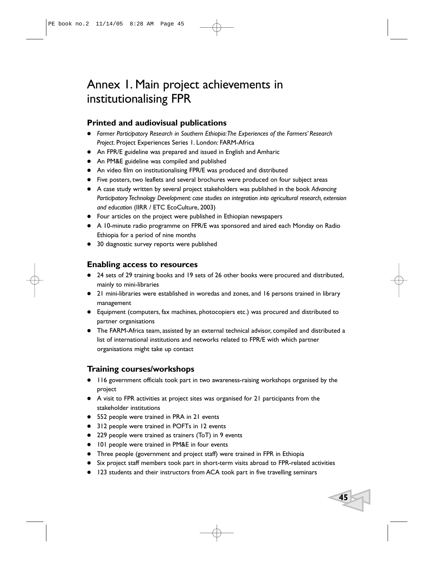# Annex 1. Main project achievements in institutionalising FPR

# **Printed and audiovisual publications**

- *Farmer Participatory Research in Southern Ethiopia:The Experiences of the Farmers' Research Project*. Project Experiences Series 1. London: FARM-Africa
- An FPR/E guideline was prepared and issued in English and Amharic
- An PM&E guideline was compiled and published
- An video film on institutionalising FPR/E was produced and distributed
- Five posters, two leaflets and several brochures were produced on four subject areas
- A case study written by several project stakeholders was published in the book *Advancing Participatory Technology Development: case studies on integration into agricultural research, extension and education* (IIRR / ETC EcoCulture, 2003)
- Four articles on the project were published in Ethiopian newspapers
- A 10-minute radio programme on FPR/E was sponsored and aired each Monday on Radio Ethiopia for a period of nine months
- 30 diagnostic survey reports were published

# **Enabling access to resources**

- 24 sets of 29 training books and 19 sets of 26 other books were procured and distributed, mainly to mini-libraries
- 21 mini-libraries were established in woredas and zones, and 16 persons trained in library management
- Equipment (computers, fax machines, photocopiers etc.) was procured and distributed to partner organisations
- The FARM-Africa team, assisted by an external technical advisor, compiled and distributed a list of international institutions and networks related to FPR/E with which partner organisations might take up contact

# **Training courses/workshops**

- 116 government officials took part in two awareness-raising workshops organised by the project
- A visit to FPR activities at project sites was organised for 21 participants from the stakeholder institutions
- 552 people were trained in PRA in 21 events
- 312 people were trained in POFTs in 12 events
- 229 people were trained as trainers (ToT) in 9 events
- 101 people were trained in PM&E in four events
- Three people (government and project staff) were trained in FPR in Ethiopia
- Six project staff members took part in short-term visits abroad to FPR-related activities

**45**

123 students and their instructors from ACA took part in five travelling seminars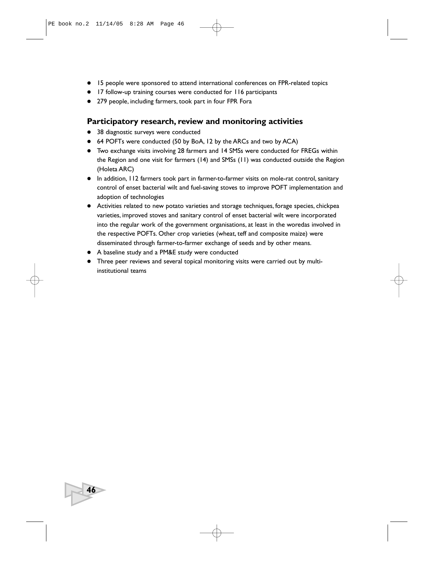- 15 people were sponsored to attend international conferences on FPR-related topics
- 17 follow-up training courses were conducted for 116 participants
- 279 people, including farmers, took part in four FPR Fora

## **Participatory research, review and monitoring activities**

- 38 diagnostic surveys were conducted
- 64 POFTs were conducted (50 by BoA, 12 by the ARCs and two by ACA)
- Two exchange visits involving 28 farmers and 14 SMSs were conducted for FREGs within the Region and one visit for farmers (14) and SMSs (11) was conducted outside the Region (Holeta ARC)
- In addition, 112 farmers took part in farmer-to-farmer visits on mole-rat control, sanitary control of enset bacterial wilt and fuel-saving stoves to improve POFT implementation and adoption of technologies
- Activities related to new potato varieties and storage techniques, forage species, chickpea varieties, improved stoves and sanitary control of enset bacterial wilt were incorporated into the regular work of the government organisations, at least in the woredas involved in the respective POFTs. Other crop varieties (wheat, teff and composite maize) were disseminated through farmer-to-farmer exchange of seeds and by other means.
- A baseline study and a PM&E study were conducted

**46**

 Three peer reviews and several topical monitoring visits were carried out by multiinstitutional teams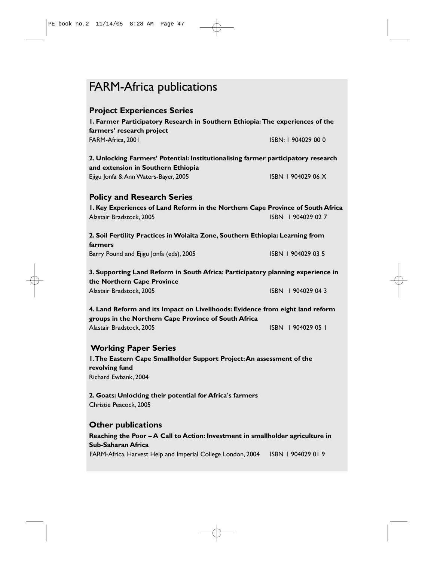# FARM-Africa publications

| <b>Project Experiences Series</b><br>I. Farmer Participatory Research in Southern Ethiopia: The experiences of the<br>farmers' research project |                     |  |  |
|-------------------------------------------------------------------------------------------------------------------------------------------------|---------------------|--|--|
| FARM-Africa, 2001                                                                                                                               | ISBN: 1 904029 00 0 |  |  |
| 2. Unlocking Farmers' Potential: Institutionalising farmer participatory research<br>and extension in Southern Ethiopia                         |                     |  |  |
| Ejigu Jonfa & Ann Waters-Bayer, 2005                                                                                                            | ISBN 1 904029 06 X  |  |  |
| <b>Policy and Research Series</b>                                                                                                               |                     |  |  |
| I. Key Experiences of Land Reform in the Northern Cape Province of South Africa<br>Alastair Bradstock, 2005                                     | ISBN 1904029 02 7   |  |  |
| 2. Soil Fertility Practices in Wolaita Zone, Southern Ethiopia: Learning from<br>farmers                                                        |                     |  |  |
| Barry Pound and Ejigu Jonfa (eds), 2005                                                                                                         | ISBN 1 904029 03 5  |  |  |
| 3. Supporting Land Reform in South Africa: Participatory planning experience in<br>the Northern Cape Province                                   |                     |  |  |
| Alastair Bradstock, 2005                                                                                                                        | ISBN 1904029 04 3   |  |  |
| 4. Land Reform and its Impact on Livelihoods: Evidence from eight land reform<br>groups in the Northern Cape Province of South Africa           |                     |  |  |

Alastair Bradstock, 2005 **ISBN 1 904029 05 1** 

# **Working Paper Series**

**1.The Eastern Cape Smallholder Support Project:An assessment of the revolving fund** Richard Ewbank, 2004

**2. Goats: Unlocking their potential for Africa's farmers** Christie Peacock, 2005

## **Other publications**

**Reaching the Poor – A Call to Action: Investment in smallholder agriculture in Sub-Saharan Africa** FARM-Africa, Harvest Help and Imperial College London, 2004 ISBN 1904029 019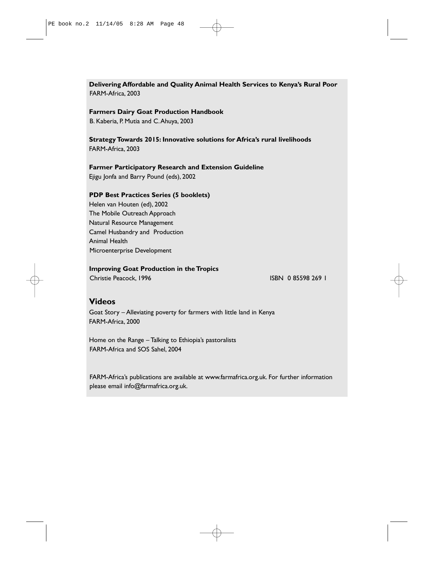# **Delivering Affordable and Quality Animal Health Services to Kenya's Rural Poor**

FARM-Africa, 2003

#### **Farmers Dairy Goat Production Handbook**

B. Kaberia, P. Mutia and C.Ahuya, 2003

#### **Strategy Towards 2015: Innovative solutions for Africa's rural livelihoods** FARM-Africa, 2003

# **Farmer Participatory Research and Extension Guideline**

Ejigu Jonfa and Barry Pound (eds), 2002

#### **PDP Best Practices Series (5 booklets)**

Helen van Houten (ed), 2002 The Mobile Outreach Approach Natural Resource Management Camel Husbandry and Production Animal Health Microenterprise Development

#### **Improving Goat Production in the Tropics**

Christie Peacock, 1996 **ISBN** 0 85598 269 1

# **Videos**

Goat Story – Alleviating poverty for farmers with little land in Kenya FARM-Africa, 2000

Home on the Range – Talking to Ethiopia's pastoralists FARM-Africa and SOS Sahel, 2004

FARM-Africa's publications are available at www.farmafrica.org.uk. For further information please email info@farmafrica.org.uk.